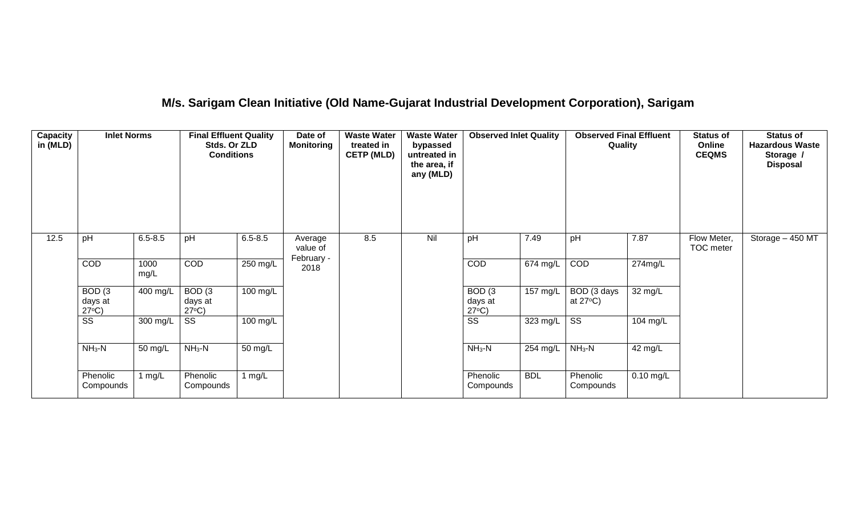# **M/s. Sarigam Clean Initiative (Old Name-Gujarat Industrial Development Corporation), Sarigam**

| Capacity<br>in (MLD) | <b>Inlet Norms</b>                              |              | <b>Final Effluent Quality</b><br>Stds. Or ZLD<br><b>Conditions</b> |                      | Date of<br><b>Monitoring</b> | <b>Waste Water</b><br>treated in<br><b>CETP (MLD)</b> | <b>Waste Water</b><br>bypassed<br>untreated in<br>the area, if<br>any (MLD) | <b>Observed Inlet Quality</b>                   |                        | <b>Observed Final Effluent</b><br>Quality |             | <b>Status of</b><br>Online<br><b>CEQMS</b> | <b>Status of</b><br><b>Hazardous Waste</b><br>Storage /<br><b>Disposal</b> |
|----------------------|-------------------------------------------------|--------------|--------------------------------------------------------------------|----------------------|------------------------------|-------------------------------------------------------|-----------------------------------------------------------------------------|-------------------------------------------------|------------------------|-------------------------------------------|-------------|--------------------------------------------|----------------------------------------------------------------------------|
| 12.5                 | pH                                              | $6.5 - 8.5$  | pH                                                                 | $6.5 - 8.5$          | Average<br>value of          | 8.5                                                   | Nil                                                                         | pH                                              | 7.49                   | pH                                        | 7.87        | Flow Meter,<br>TOC meter                   | Storage - 450 MT                                                           |
|                      | COD                                             | 1000<br>mg/L | COD                                                                | $250$ mg/L           | February -<br>2018           |                                                       |                                                                             | COD                                             | $\overline{67}$ 4 mg/L | COD                                       | 274mg/L     |                                            |                                                                            |
|                      | BOD <sub>(3</sub><br>days at<br>$27^{\circ}C$ ) | 400 mg/L     | BOD <sub>(3</sub><br>days at<br>$27^{\circ}C$ )                    | 100 mg/L             |                              |                                                       |                                                                             | BOD <sub>(3</sub><br>days at<br>$27^{\circ}C$ ) | 157 mg/L               | BOD (3 days<br>at $27^{\circ}$ C)         | 32 mg/L     |                                            |                                                                            |
|                      | $\overline{\text{ss}}$                          | 300 mg/L     | $\overline{\text{ss}}$                                             | 100 mg/L             |                              |                                                       |                                                                             | $\overline{\text{ss}}$                          | 323 mg/L               | $\overline{\text{SS}}$                    | 104 mg/L    |                                            |                                                                            |
|                      | $NH3-N$                                         | 50 mg/L      | $NH3-N$                                                            | $\overline{50}$ mg/L |                              |                                                       |                                                                             | $NH3-N$                                         | 254 mg/L               | $NH3-N$                                   | 42 mg/L     |                                            |                                                                            |
|                      | Phenolic<br>Compounds                           | 1 mg/L       | Phenolic<br>Compounds                                              | 1 $mg/L$             |                              |                                                       |                                                                             | Phenolic<br>Compounds                           | <b>BDL</b>             | Phenolic<br>Compounds                     | $0.10$ mg/L |                                            |                                                                            |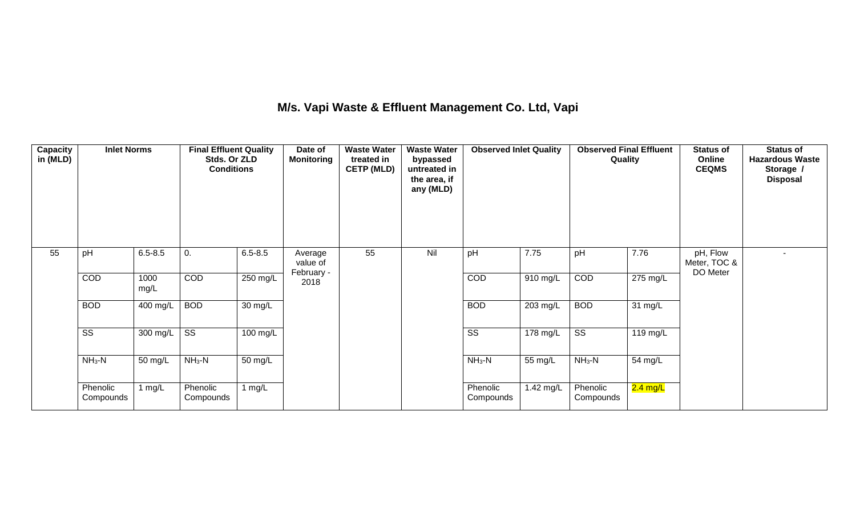## **M/s. Vapi Waste & Effluent Management Co. Ltd, Vapi**

| <b>Capacity</b><br>in (MLD) | <b>Inlet Norms</b>     |              | <b>Final Effluent Quality</b><br>Stds. Or ZLD<br><b>Conditions</b> |             | Date of<br><b>Monitoring</b> | <b>Waste Water</b><br>treated in<br><b>CETP (MLD)</b> | <b>Waste Water</b><br>bypassed<br>untreated in<br>the area, if<br>any (MLD) | <b>Observed Inlet Quality</b> |                    | Quality                | <b>Observed Final Effluent</b> | <b>Status of</b><br>Online<br><b>CEQMS</b> | <b>Status of</b><br><b>Hazardous Waste</b><br>Storage /<br><b>Disposal</b> |
|-----------------------------|------------------------|--------------|--------------------------------------------------------------------|-------------|------------------------------|-------------------------------------------------------|-----------------------------------------------------------------------------|-------------------------------|--------------------|------------------------|--------------------------------|--------------------------------------------|----------------------------------------------------------------------------|
| 55                          | pH                     | $6.5 - 8.5$  | 0.                                                                 | $6.5 - 8.5$ | Average<br>value of          | 55                                                    | Nil                                                                         | pH                            | 7.75               | pH                     | 7.76                           | pH, Flow<br>Meter, TOC &                   |                                                                            |
|                             | COD                    | 1000<br>mg/L | COD                                                                | 250 mg/L    | February -<br>2018           |                                                       |                                                                             | COD                           | 910 mg/L           | COD                    | 275 mg/L                       | DO Meter                                   |                                                                            |
|                             | <b>BOD</b>             | 400 mg/L     | <b>BOD</b>                                                         | 30 mg/L     |                              |                                                       |                                                                             | <b>BOD</b>                    | $203 \text{ mg/L}$ | <b>BOD</b>             | 31 mg/L                        |                                            |                                                                            |
|                             | $\overline{\text{SS}}$ | 300 mg/L     | $\overline{\text{ss}}$                                             | 100 mg/L    |                              |                                                       |                                                                             | $\overline{\text{ss}}$        | $178 \text{ mg/L}$ | $\overline{\text{ss}}$ | 119 mg/L                       |                                            |                                                                            |
|                             | $NH3-N$                | 50 mg/L      | $NH3-N$                                                            | 50 mg/L     |                              |                                                       |                                                                             | $NH3-N$                       | 55 mg/L            | $NH3-N$                | 54 mg/L                        |                                            |                                                                            |
|                             | Phenolic<br>Compounds  | 1 $mg/L$     | Phenolic<br>Compounds                                              | 1 mg/L      |                              |                                                       |                                                                             | Phenolic<br>Compounds         | 1.42 mg/L          | Phenolic<br>Compounds  | <mark>2.4 mg/L</mark>          |                                            |                                                                            |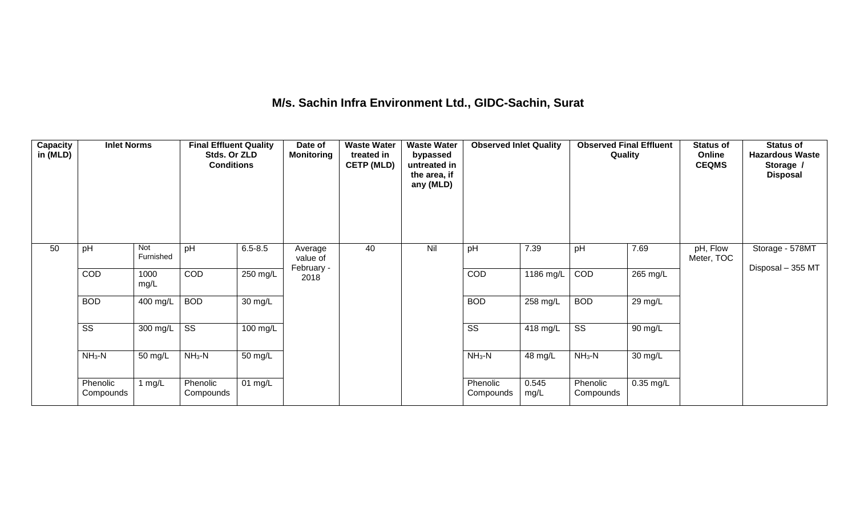## **M/s. Sachin Infra Environment Ltd., GIDC-Sachin, Surat**

| Capacity<br>in (MLD) | <b>Inlet Norms</b>     |                  | <b>Final Effluent Quality</b><br>Stds. Or ZLD<br><b>Conditions</b> |                    | Date of<br>Monitoring | <b>Waste Water</b><br>treated in<br><b>CETP (MLD)</b> | <b>Waste Water</b><br>bypassed<br>untreated in<br>the area, if<br>any (MLD) | <b>Observed Inlet Quality</b> |               | <b>Observed Final Effluent</b><br>Quality |           | <b>Status of</b><br>Online<br><b>CEQMS</b> | <b>Status of</b><br><b>Hazardous Waste</b><br>Storage /<br><b>Disposal</b> |
|----------------------|------------------------|------------------|--------------------------------------------------------------------|--------------------|-----------------------|-------------------------------------------------------|-----------------------------------------------------------------------------|-------------------------------|---------------|-------------------------------------------|-----------|--------------------------------------------|----------------------------------------------------------------------------|
| 50                   | pH                     | Not<br>Furnished | pH                                                                 | $6.5 - 8.5$        | Average<br>value of   | 40                                                    | Nil                                                                         | pH                            | 7.39          | pH                                        | 7.69      | pH, Flow<br>Meter, TOC                     | Storage - 578MT                                                            |
|                      | COD                    | 1000<br>mg/L     | COD                                                                | 250 mg/L           | February -<br>2018    |                                                       |                                                                             | COD                           | 1186 mg/L     | COD                                       | 265 mg/L  |                                            | Disposal - 355 MT                                                          |
|                      | <b>BOD</b>             | 400 mg/L         | <b>BOD</b>                                                         | 30 mg/L            |                       |                                                       |                                                                             | <b>BOD</b>                    | 258 mg/L      | <b>BOD</b>                                | 29 mg/L   |                                            |                                                                            |
|                      | $\overline{\text{SS}}$ | 300 mg/L         | $\overline{\text{ss}}$                                             | $100 \text{ mg/L}$ |                       |                                                       |                                                                             | $\overline{\text{ss}}$        | 418 mg/L      | $\overline{\text{ss}}$                    | 90 mg/L   |                                            |                                                                            |
|                      | $NH3-N$                | 50 mg/L          | $NH3-N$                                                            | 50 mg/L            |                       |                                                       |                                                                             | $NH_3-N$                      | 48 mg/L       | $NH3-N$                                   | 30 mg/L   |                                            |                                                                            |
|                      | Phenolic<br>Compounds  | 1 $mg/L$         | Phenolic<br>Compounds                                              | 01 $mg/L$          |                       |                                                       |                                                                             | Phenolic<br>Compounds         | 0.545<br>mg/L | Phenolic<br>Compounds                     | 0.35 mg/L |                                            |                                                                            |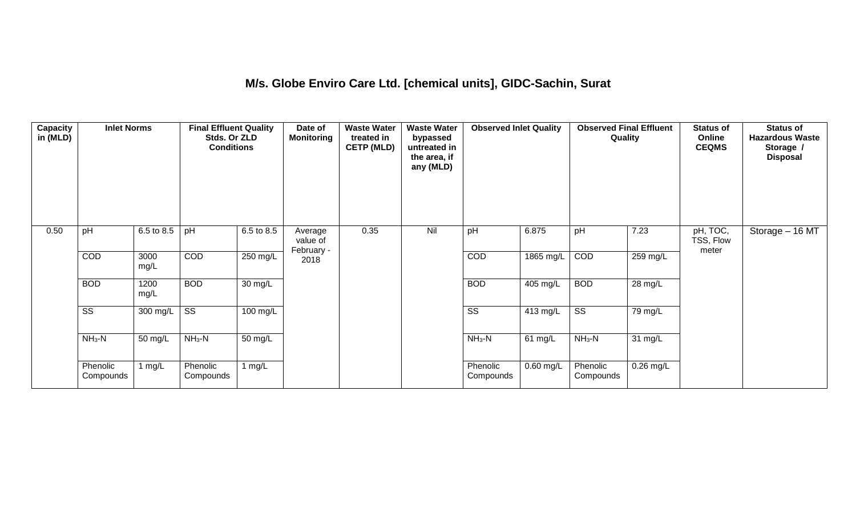#### **M/s. Globe Enviro Care Ltd. [chemical units], GIDC-Sachin, Surat**

| Capacity<br>in (MLD) | <b>Inlet Norms</b>     |              | <b>Final Effluent Quality</b><br>Stds. Or ZLD<br><b>Conditions</b> |                      | Date of<br><b>Monitoring</b>      | <b>Waste Water</b><br>treated in<br><b>CETP (MLD)</b> | <b>Waste Water</b><br>bypassed<br>untreated in<br>the area, if<br>any (MLD) | <b>Observed Inlet Quality</b> |                    | <b>Observed Final Effluent</b><br>Quality |             | <b>Status of</b><br>Online<br><b>CEQMS</b> | <b>Status of</b><br><b>Hazardous Waste</b><br>Storage /<br><b>Disposal</b> |
|----------------------|------------------------|--------------|--------------------------------------------------------------------|----------------------|-----------------------------------|-------------------------------------------------------|-----------------------------------------------------------------------------|-------------------------------|--------------------|-------------------------------------------|-------------|--------------------------------------------|----------------------------------------------------------------------------|
| 0.50                 | pH                     | 6.5 to 8.5   | pH                                                                 | 6.5 to 8.5           | Average<br>value of<br>February - | 0.35                                                  | Nil                                                                         | pH                            | 6.875              | pH                                        | 7.23        | pH, TOC,<br>TSS, Flow<br>meter             | Storage - 16 MT                                                            |
|                      | COD                    | 3000<br>mg/L | COD                                                                | 250 mg/L             | 2018                              |                                                       |                                                                             | COD                           | 1865 mg/L          | COD                                       | 259 mg/L    |                                            |                                                                            |
|                      | <b>BOD</b>             | 1200<br>mg/L | <b>BOD</b>                                                         | $\overline{30}$ mg/L |                                   |                                                       |                                                                             | <b>BOD</b>                    | $405 \text{ mg/L}$ | <b>BOD</b>                                | 28 mg/L     |                                            |                                                                            |
|                      | $\overline{\text{ss}}$ | 300 mg/L     | $\overline{\text{ss}}$                                             | $100 \text{ mg/L}$   |                                   |                                                       |                                                                             | $\overline{\text{ss}}$        | $413 \text{ mg/L}$ | $\overline{\text{SS}}$                    | 79 mg/L     |                                            |                                                                            |
|                      | $NH3-N$                | 50 mg/L      | $NH3-N$                                                            | $\overline{50}$ mg/L |                                   |                                                       |                                                                             | $NH3-N$                       | 61 mg/L            | $NH3-N$                                   | 31 mg/L     |                                            |                                                                            |
|                      | Phenolic<br>Compounds  | 1 mg/L       | Phenolic<br>Compounds                                              | 1 $mg/L$             |                                   |                                                       |                                                                             | Phenolic<br>Compounds         | $0.60$ mg/L        | Phenolic<br>Compounds                     | $0.26$ mg/L |                                            |                                                                            |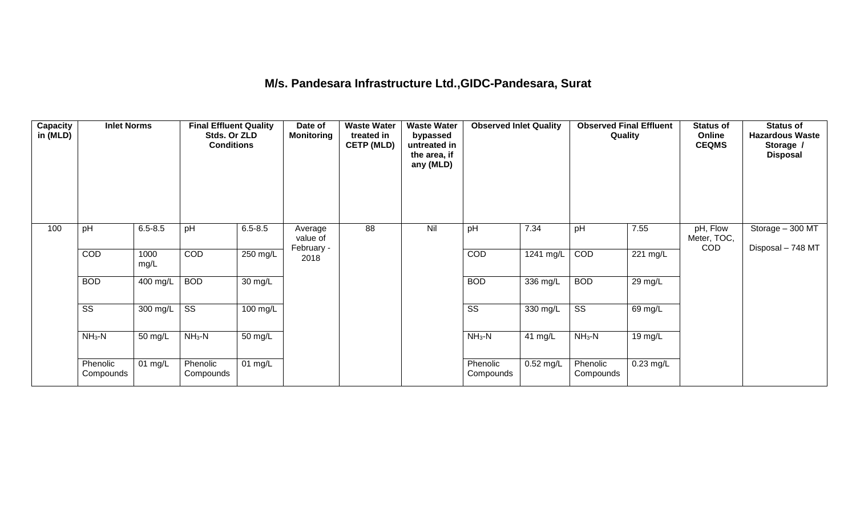## **M/s. Pandesara Infrastructure Ltd.,GIDC-Pandesara, Surat**

| Capacity<br>in (MLD) | <b>Inlet Norms</b>     |              | <b>Final Effluent Quality</b><br>Stds. Or ZLD<br><b>Conditions</b> |                      | Date of<br><b>Monitoring</b> | <b>Waste Water</b><br>treated in<br><b>CETP (MLD)</b> | <b>Waste Water</b><br>bypassed<br>untreated in<br>the area, if<br>any (MLD) | <b>Observed Inlet Quality</b> |             | <b>Observed Final Effluent</b><br><b>Quality</b> |                       | <b>Status of</b><br>Online<br><b>CEQMS</b> | <b>Status of</b><br><b>Hazardous Waste</b><br>Storage /<br><b>Disposal</b> |
|----------------------|------------------------|--------------|--------------------------------------------------------------------|----------------------|------------------------------|-------------------------------------------------------|-----------------------------------------------------------------------------|-------------------------------|-------------|--------------------------------------------------|-----------------------|--------------------------------------------|----------------------------------------------------------------------------|
| 100                  | pH                     | $6.5 - 8.5$  | pH                                                                 | $6.5 - 8.5$          | Average<br>value of          | 88                                                    | Nil                                                                         | pH                            | 7.34        | pH                                               | 7.55                  | pH, Flow<br>Meter, TOC,<br>COD             | Storage - 300 MT<br>Disposal - 748 MT                                      |
|                      | <b>COD</b>             | 1000<br>mg/L | COD                                                                | $250$ mg/L           | February -<br>2018           |                                                       |                                                                             | COD                           | 1241 mg/L   | COD                                              | $\overline{221}$ mg/L |                                            |                                                                            |
|                      | <b>BOD</b>             | 400 mg/L     | <b>BOD</b>                                                         | 30 mg/L              |                              |                                                       |                                                                             | <b>BOD</b>                    | 336 mg/L    | <b>BOD</b>                                       | 29 mg/L               |                                            |                                                                            |
|                      | $\overline{\text{SS}}$ | 300 mg/L     | $\overline{\text{ss}}$                                             | 100 mg/L             |                              |                                                       |                                                                             | $\overline{\text{SS}}$        | 330 mg/L    | $\overline{\text{ss}}$                           | 69 mg/L               |                                            |                                                                            |
|                      | $NH3-N$                | 50 mg/L      | $NH3-N$                                                            | $\overline{50}$ mg/L |                              |                                                       |                                                                             | $NH_3-N$                      | 41 mg/L     | $NH_3-N$                                         | 19 mg/L               |                                            |                                                                            |
|                      | Phenolic<br>Compounds  | 01 mg/L      | Phenolic<br>Compounds                                              | 01 $mg/L$            |                              |                                                       |                                                                             | Phenolic<br>Compounds         | $0.52$ mg/L | Phenolic<br>Compounds                            | $0.23$ mg/L           |                                            |                                                                            |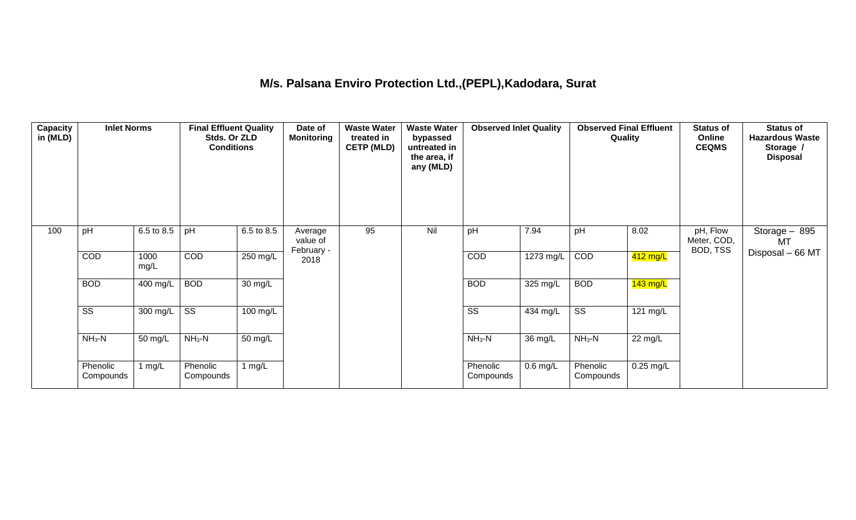## **M/s. Palsana Enviro Protection Ltd.,(PEPL),Kadodara, Surat**

| Capacity<br>in (MLD) | <b>Inlet Norms</b>     |              | <b>Final Effluent Quality</b><br>Stds. Or ZLD<br><b>Conditions</b> |            | Date of<br><b>Monitoring</b>      | <b>Waste Water</b><br>treated in<br><b>CETP (MLD)</b> | <b>Waste Water</b><br>bypassed<br>untreated in<br>the area, if<br>any (MLD) | <b>Observed Inlet Quality</b> |            | <b>Observed Final Effluent</b><br>Quality |             | <b>Status of</b><br>Online<br><b>CEQMS</b> | <b>Status of</b><br><b>Hazardous Waste</b><br>Storage /<br><b>Disposal</b> |
|----------------------|------------------------|--------------|--------------------------------------------------------------------|------------|-----------------------------------|-------------------------------------------------------|-----------------------------------------------------------------------------|-------------------------------|------------|-------------------------------------------|-------------|--------------------------------------------|----------------------------------------------------------------------------|
| 100                  | pH                     | 6.5 to 8.5   | pH                                                                 | 6.5 to 8.5 | Average<br>value of<br>February - | 95                                                    | Nil                                                                         | pH                            | 7.94       | pH                                        | 8.02        | pH, Flow<br>Meter, COD,<br>BOD, TSS        | Storage $-895$<br>MT                                                       |
|                      | COD                    | 1000<br>mg/L | COD                                                                | 250 mg/L   | 2018                              |                                                       |                                                                             | <b>COD</b>                    | 1273 mg/L  | COD                                       | 412 mg/L    |                                            | Disposal - 66 MT                                                           |
|                      | <b>BOD</b>             | 400 mg/L     | <b>BOD</b>                                                         | 30 mg/L    |                                   |                                                       |                                                                             | <b>BOD</b>                    | 325 mg/L   | <b>BOD</b>                                | $143$ mg/L  |                                            |                                                                            |
|                      | $\overline{\text{ss}}$ | 300 mg/L     | $\overline{\text{ss}}$                                             | $100$ mg/L |                                   |                                                       |                                                                             | $\overline{\text{ss}}$        | 434 mg/L   | $\overline{\text{ss}}$                    | 121 mg/L    |                                            |                                                                            |
|                      | $NH3-N$                | 50 mg/L      | $NH3-N$                                                            | 50 mg/L    |                                   |                                                       |                                                                             | $NH3-N$                       | 36 mg/L    | $NH3-N$                                   | 22 mg/L     |                                            |                                                                            |
|                      | Phenolic<br>Compounds  | 1 $mg/L$     | Phenolic<br>Compounds                                              | 1 $mg/L$   |                                   |                                                       |                                                                             | Phenolic<br>Compounds         | $0.6$ mg/L | Phenolic<br>Compounds                     | $0.25$ mg/L |                                            |                                                                            |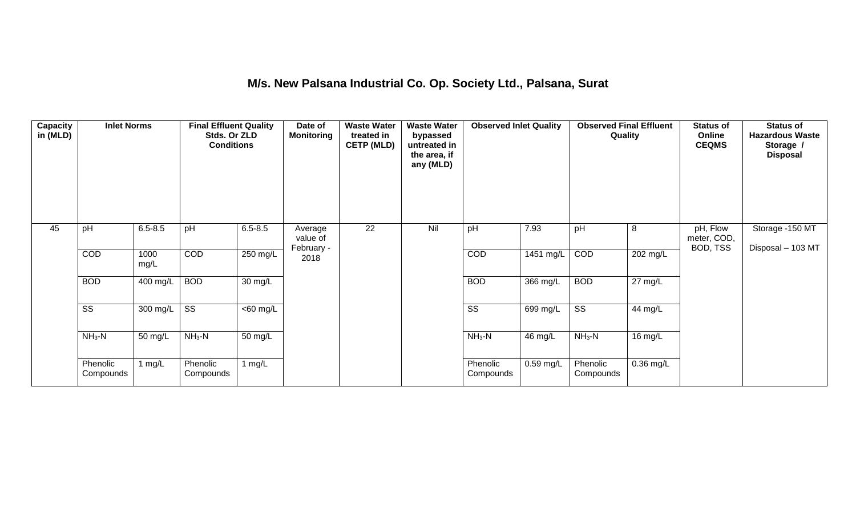## **M/s. New Palsana Industrial Co. Op. Society Ltd., Palsana, Surat**

| Capacity<br>in (MLD) | <b>Inlet Norms</b>     |              | <b>Final Effluent Quality</b><br>Stds. Or ZLD<br><b>Conditions</b> |                       | Date of<br><b>Monitoring</b> | <b>Waste Water</b><br>treated in<br><b>CETP (MLD)</b> | <b>Waste Water</b><br>bypassed<br>untreated in<br>the area, if<br>any (MLD) | <b>Observed Inlet Quality</b> |            | <b>Observed Final Effluent</b><br><b>Quality</b> |                      | <b>Status of</b><br>Online<br><b>CEQMS</b> | <b>Status of</b><br><b>Hazardous Waste</b><br>Storage /<br><b>Disposal</b> |
|----------------------|------------------------|--------------|--------------------------------------------------------------------|-----------------------|------------------------------|-------------------------------------------------------|-----------------------------------------------------------------------------|-------------------------------|------------|--------------------------------------------------|----------------------|--------------------------------------------|----------------------------------------------------------------------------|
| 45                   | pH                     | $6.5 - 8.5$  | pH                                                                 | $6.5 - 8.5$           | Average<br>value of          | 22                                                    | Nil                                                                         | pH                            | 7.93       | pH                                               | 8                    | pH, Flow<br>meter, COD,                    | Storage -150 MT                                                            |
|                      | COD                    | 1000<br>mg/L | COD                                                                | 250 mg/L              | February -<br>2018           |                                                       |                                                                             | COD                           | 1451 mg/L  | COD                                              | $202$ mg/L           | BOD, TSS                                   | Disposal - 103 MT                                                          |
|                      | <b>BOD</b>             | 400 mg/L     | <b>BOD</b>                                                         | $30 \text{ mg/L}$     |                              |                                                       |                                                                             | <b>BOD</b>                    | $366$ mg/L | <b>BOD</b>                                       | $\overline{27}$ mg/L |                                            |                                                                            |
|                      | $\overline{\text{SS}}$ | 300 mg/L     | $\overline{\text{SS}}$                                             | $\overline{<}60$ mg/L |                              |                                                       |                                                                             | $\overline{\text{SS}}$        | 699 mg/L   | $\overline{\text{ss}}$                           | 44 mg/L              |                                            |                                                                            |
|                      | $NH3-N$                | 50 mg/L      | $NH3-N$                                                            | 50 mg/L               |                              |                                                       |                                                                             | $NH3-N$                       | 46 mg/L    | $NH3-N$                                          | 16 mg/L              |                                            |                                                                            |
|                      | Phenolic<br>Compounds  | 1 $mg/L$     | Phenolic<br>Compounds                                              | 1 mg/ $L$             |                              |                                                       |                                                                             | Phenolic<br>Compounds         | 0.59 mg/L  | Phenolic<br>Compounds                            | 0.36 mg/L            |                                            |                                                                            |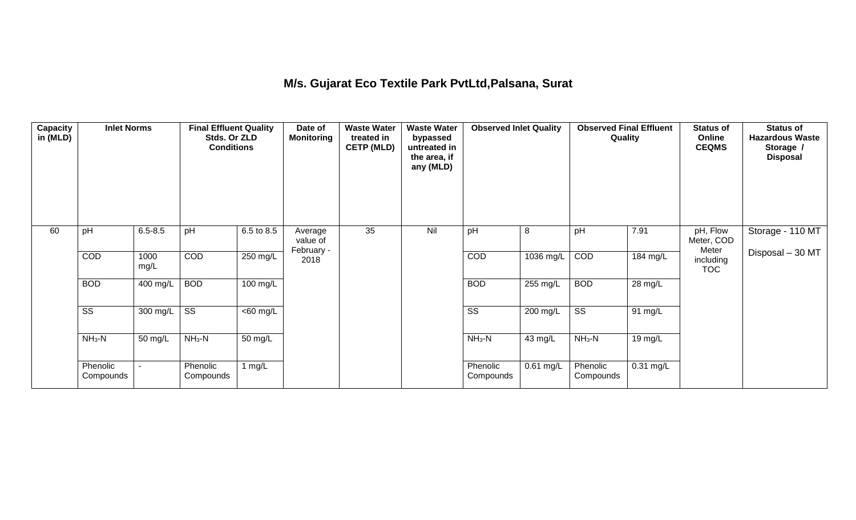## **M/s. Gujarat Eco Textile Park PvtLtd,Palsana, Surat**

| <b>Capacity</b><br>in (MLD) | <b>Inlet Norms</b>     |                       | <b>Final Effluent Quality</b><br>Stds. Or ZLD<br><b>Conditions</b> |                       | Date of<br><b>Monitoring</b> | <b>Waste Water</b><br>treated in<br><b>CETP (MLD)</b> | <b>Waste Water</b><br>bypassed<br>untreated in<br>the area, if<br>any (MLD) | <b>Observed Inlet Quality</b> |            | <b>Observed Final Effluent</b><br>Quality |             | <b>Status of</b><br>Online<br><b>CEQMS</b> | <b>Status of</b><br><b>Hazardous Waste</b><br>Storage /<br><b>Disposal</b> |
|-----------------------------|------------------------|-----------------------|--------------------------------------------------------------------|-----------------------|------------------------------|-------------------------------------------------------|-----------------------------------------------------------------------------|-------------------------------|------------|-------------------------------------------|-------------|--------------------------------------------|----------------------------------------------------------------------------|
| 60                          | pH                     | $6.5 - 8.5$           | pH                                                                 | 6.5 to 8.5            | Average<br>value of          | 35                                                    | Nil                                                                         | pH                            | 8          | pH                                        | 7.91        | pH, Flow<br>Meter, COD<br>Meter            | Storage - 110 MT                                                           |
|                             | COD                    | 1000<br>mg/L          | COD                                                                | 250 mg/L              | February -<br>2018           |                                                       |                                                                             | COD                           | 1036 mg/L  | COD                                       | 184 mg/L    | including<br><b>TOC</b>                    | Disposal - 30 MT                                                           |
|                             | <b>BOD</b>             | $\overline{400}$ mg/L | <b>BOD</b>                                                         | 100 mg/L              |                              |                                                       |                                                                             | <b>BOD</b>                    | 255 mg/L   | <b>BOD</b>                                | 28 mg/L     |                                            |                                                                            |
|                             | $\overline{\text{ss}}$ | 300 mg/L              | $\overline{\text{ss}}$                                             | $\overline{<}60$ mg/L |                              |                                                       |                                                                             | $\overline{\text{ss}}$        | $200$ mg/L | $\overline{\text{ss}}$                    | 91 mg/L     |                                            |                                                                            |
|                             | $NH3-N$                | 50 mg/L               | $NH3-N$                                                            | 50 mg/L               |                              |                                                       |                                                                             | $NH3-N$                       | 43 mg/L    | $NH3-N$                                   | 19 mg/L     |                                            |                                                                            |
|                             | Phenolic<br>Compounds  |                       | Phenolic<br>Compounds                                              | 1 $mg/L$              |                              |                                                       |                                                                             | Phenolic<br>Compounds         | 0.61 mg/L  | Phenolic<br>Compounds                     | $0.31$ mg/L |                                            |                                                                            |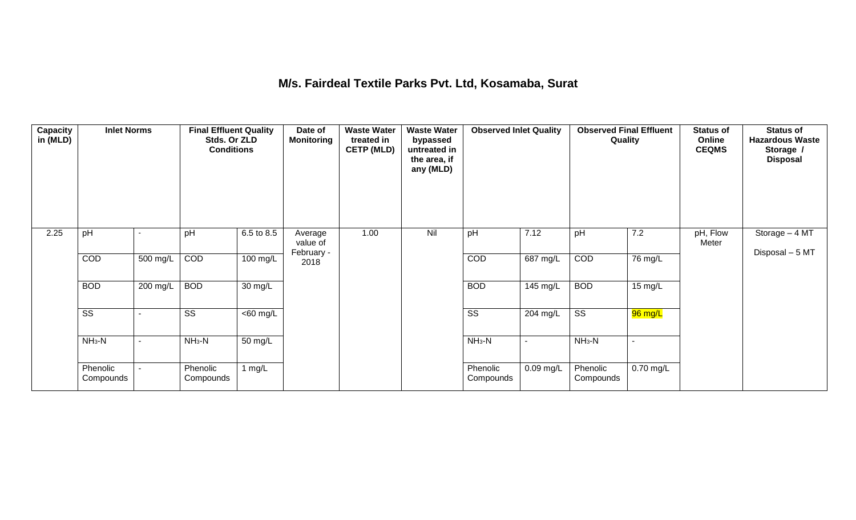#### **M/s. Fairdeal Textile Parks Pvt. Ltd, Kosamaba, Surat**

| Capacity<br>in (MLD) | <b>Inlet Norms</b>     |                | <b>Final Effluent Quality</b><br>Stds. Or ZLD<br><b>Conditions</b> |                       | Date of<br>Monitoring | <b>Waste Water</b><br>treated in<br><b>CETP (MLD)</b> | <b>Waste Water</b><br>bypassed<br>untreated in<br>the area, if<br>any (MLD) | <b>Observed Inlet Quality</b> |             |                        | <b>Observed Final Effluent</b><br>Quality | <b>Status of</b><br>Online<br><b>CEQMS</b> | <b>Status of</b><br><b>Hazardous Waste</b><br>Storage /<br><b>Disposal</b> |
|----------------------|------------------------|----------------|--------------------------------------------------------------------|-----------------------|-----------------------|-------------------------------------------------------|-----------------------------------------------------------------------------|-------------------------------|-------------|------------------------|-------------------------------------------|--------------------------------------------|----------------------------------------------------------------------------|
| 2.25                 | pH                     |                | pH                                                                 | 6.5 to 8.5            | Average<br>value of   | 1.00                                                  | Nil                                                                         | pH                            | 7.12        | pH                     | 7.2                                       | pH, Flow<br>Meter                          | Storage - 4 MT                                                             |
|                      | COD                    | 500 mg/L       | COD                                                                | 100 mg/L              | February -<br>2018    |                                                       |                                                                             | COD                           | 687 mg/L    | COD                    | 76 mg/L                                   |                                            | Disposal - 5 MT                                                            |
|                      | <b>BOD</b>             | 200 mg/L       | <b>BOD</b>                                                         | 30 mg/L               |                       |                                                       |                                                                             | <b>BOD</b>                    | 145 mg/L    | <b>BOD</b>             | 15 mg/L                                   |                                            |                                                                            |
|                      | $\overline{\text{ss}}$ |                | $\overline{\text{ss}}$                                             | $\overline{<}60$ mg/L |                       |                                                       |                                                                             | $\overline{\text{ss}}$        | 204 mg/L    | $\overline{\text{ss}}$ | 96 mg/L                                   |                                            |                                                                            |
|                      | $NH3-N$                | $\blacksquare$ | $NH3-N$                                                            | 50 mg/L               |                       |                                                       |                                                                             | $NH3-N$                       | $\sim$      | $NH3-N$                | $\sim$                                    |                                            |                                                                            |
|                      | Phenolic<br>Compounds  |                | Phenolic<br>Compounds                                              | 1 $mg/L$              |                       |                                                       |                                                                             | Phenolic<br>Compounds         | $0.09$ mg/L | Phenolic<br>Compounds  | 0.70 mg/L                                 |                                            |                                                                            |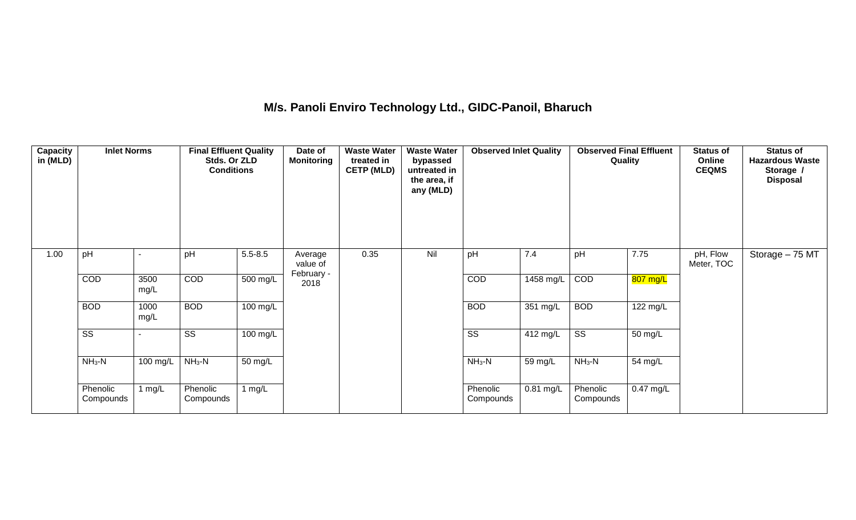## **M/s. Panoli Enviro Technology Ltd., GIDC-Panoil, Bharuch**

| Capacity<br>in (MLD) | <b>Inlet Norms</b>     |              | <b>Final Effluent Quality</b><br>Stds. Or ZLD<br><b>Conditions</b> |             | Date of<br><b>Monitoring</b> | <b>Waste Water</b><br>treated in<br><b>CETP (MLD)</b> | <b>Waste Water</b><br>bypassed<br>untreated in<br>the area, if<br>any (MLD) | <b>Observed Inlet Quality</b> |             | <b>Observed Final Effluent</b><br>Quality |             | <b>Status of</b><br>Online<br><b>CEQMS</b> | <b>Status of</b><br><b>Hazardous Waste</b><br>Storage /<br><b>Disposal</b> |
|----------------------|------------------------|--------------|--------------------------------------------------------------------|-------------|------------------------------|-------------------------------------------------------|-----------------------------------------------------------------------------|-------------------------------|-------------|-------------------------------------------|-------------|--------------------------------------------|----------------------------------------------------------------------------|
| 1.00                 | pH                     |              | pH                                                                 | $5.5 - 8.5$ | Average<br>value of          | 0.35                                                  | Nil                                                                         | pH                            | 7.4         | pH                                        | 7.75        | pH, Flow<br>Meter, TOC                     | Storage - 75 MT                                                            |
|                      | COD                    | 3500<br>mg/L | COD                                                                | 500 mg/L    | February -<br>2018           |                                                       |                                                                             | COD                           | 1458 mg/L   | COD                                       | 807 mg/L    |                                            |                                                                            |
|                      | <b>BOD</b>             | 1000<br>mg/L | <b>BOD</b>                                                         | 100 mg/L    |                              |                                                       |                                                                             | <b>BOD</b>                    | 351 mg/L    | <b>BOD</b>                                | 122 mg/L    |                                            |                                                                            |
|                      | $\overline{\text{SS}}$ |              | SS                                                                 | 100 mg/L    |                              |                                                       |                                                                             | SS                            | 412 mg/L    | $\overline{\text{SS}}$                    | 50 mg/L     |                                            |                                                                            |
|                      | $NH_3-N$               | 100 mg/L     | $NH3-N$                                                            | 50 mg/L     |                              |                                                       |                                                                             | $NH_3-N$                      | 59 mg/L     | $NH3-N$                                   | 54 mg/L     |                                            |                                                                            |
|                      | Phenolic<br>Compounds  | 1 $mg/L$     | Phenolic<br>Compounds                                              | 1 $mg/L$    |                              |                                                       |                                                                             | Phenolic<br>Compounds         | $0.81$ mg/L | Phenolic<br>Compounds                     | $0.47$ mg/L |                                            |                                                                            |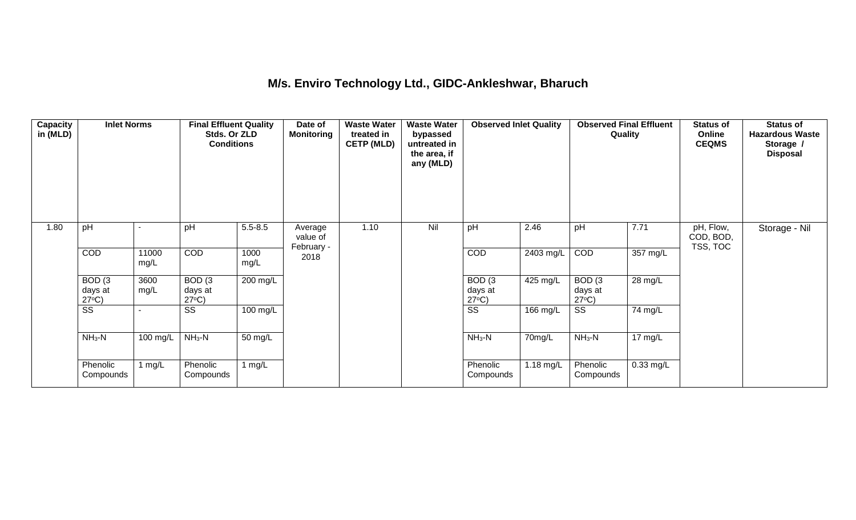#### **M/s. Enviro Technology Ltd., GIDC-Ankleshwar, Bharuch**

| <b>Capacity</b><br>in (MLD) | <b>Inlet Norms</b>                              |               | <b>Final Effluent Quality</b><br>Stds. Or ZLD<br><b>Conditions</b> |              | Date of<br>Monitoring | <b>Waste Water</b><br>treated in<br><b>CETP (MLD)</b> | <b>Waste Water</b><br>bypassed<br>untreated in<br>the area, if<br>any (MLD) | <b>Observed Inlet Quality</b> |             | <b>Observed Final Effluent</b><br>Quality |                   | <b>Status of</b><br>Online<br><b>CEQMS</b> | <b>Status of</b><br><b>Hazardous Waste</b><br>Storage /<br><b>Disposal</b> |
|-----------------------------|-------------------------------------------------|---------------|--------------------------------------------------------------------|--------------|-----------------------|-------------------------------------------------------|-----------------------------------------------------------------------------|-------------------------------|-------------|-------------------------------------------|-------------------|--------------------------------------------|----------------------------------------------------------------------------|
| 1.80                        | pH                                              |               | pH                                                                 | $5.5 - 8.5$  | Average<br>value of   | 1.10                                                  | Nil                                                                         | pH                            | 2.46        | pH                                        | 7.71              | pH, Flow,<br>COD, BOD,                     | Storage - Nil                                                              |
|                             | COD                                             | 11000<br>mg/L | COD                                                                | 1000<br>mg/L | February -<br>2018    |                                                       |                                                                             | <b>COD</b>                    | 2403 mg/L   | COD                                       | 357 mg/L          | TSS, TOC                                   |                                                                            |
|                             | BOD <sub>(3</sub><br>days at<br>$27^{\circ}C$ ) | 3600<br>mg/L  | BOD <sub>(3</sub><br>days at<br>$27^{\circ}C$ )                    | 200 mg/L     |                       |                                                       |                                                                             | BOD <sub>(3</sub><br>days at  | 425 mg/L    | BOD(3)<br>days at<br>$27^{\circ}C$ )      | 28 mg/L           |                                            |                                                                            |
|                             | $\overline{\text{ss}}$                          |               | $\overline{\text{ss}}$                                             | 100 mg/L     |                       |                                                       |                                                                             | $\frac{27^{\circ}C}{SS}$      | 166 mg/L    | $\overline{\text{ss}}$                    | 74 mg/L           |                                            |                                                                            |
|                             | $NH3-N$                                         | 100 mg/L      | $NH3-N$                                                            | 50 mg/L      |                       |                                                       |                                                                             | $NH3-N$                       | 70mg/L      | $NH3-N$                                   | $17 \text{ mg/L}$ |                                            |                                                                            |
|                             | Phenolic<br>Compounds                           | 1 $mg/L$      | Phenolic<br>Compounds                                              | 1 $mg/L$     |                       |                                                       |                                                                             | Phenolic<br>Compounds         | 1.18 $mg/L$ | Phenolic<br>Compounds                     | $0.33$ mg/L       |                                            |                                                                            |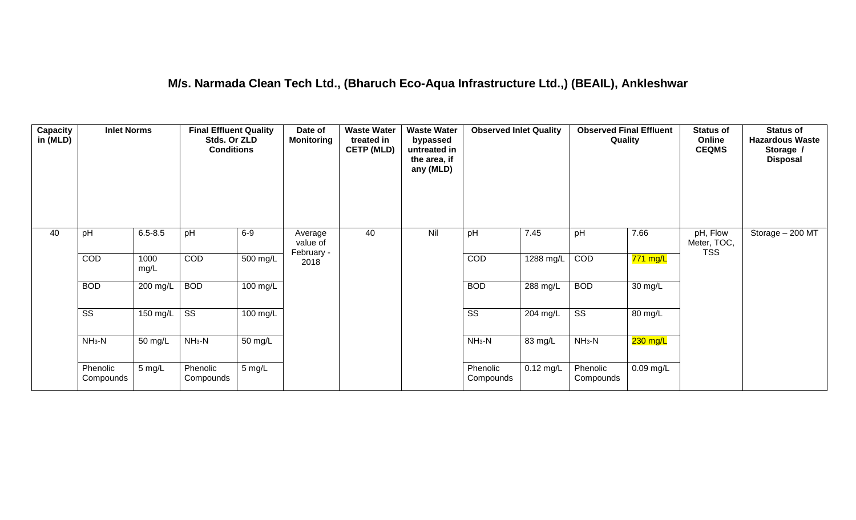#### **M/s. Narmada Clean Tech Ltd., (Bharuch Eco-Aqua Infrastructure Ltd.,) (BEAIL), Ankleshwar**

| Capacity<br>in (MLD) | <b>Inlet Norms</b>     |              | <b>Final Effluent Quality</b><br>Stds. Or ZLD<br><b>Conditions</b> |                    | Date of<br><b>Monitoring</b>      | <b>Waste Water</b><br>treated in<br><b>CETP (MLD)</b> | <b>Waste Water</b><br>bypassed<br>untreated in<br>the area, if<br>any (MLD) | <b>Observed Inlet Quality</b> |             | <b>Observed Final Effluent</b><br>Quality |             | <b>Status of</b><br>Online<br><b>CEQMS</b> | <b>Status of</b><br><b>Hazardous Waste</b><br>Storage /<br><b>Disposal</b> |
|----------------------|------------------------|--------------|--------------------------------------------------------------------|--------------------|-----------------------------------|-------------------------------------------------------|-----------------------------------------------------------------------------|-------------------------------|-------------|-------------------------------------------|-------------|--------------------------------------------|----------------------------------------------------------------------------|
| 40                   | pH                     | $6.5 - 8.5$  | pH                                                                 | $6-9$              | Average<br>value of<br>February - | 40                                                    | Nil                                                                         | pH                            | 7.45        | pH                                        | 7.66        | pH, Flow<br>Meter, TOC,<br><b>TSS</b>      | Storage - 200 MT                                                           |
|                      | COD                    | 1000<br>mg/L | <b>COD</b>                                                         | 500 mg/L           | 2018                              |                                                       |                                                                             | COD                           | 1288 mg/L   | COD                                       | $771$ mg/L  |                                            |                                                                            |
|                      | <b>BOD</b>             | 200 mg/L     | <b>BOD</b>                                                         | 100 mg/L           |                                   |                                                       |                                                                             | <b>BOD</b>                    | 288 mg/L    | <b>BOD</b>                                | 30 mg/L     |                                            |                                                                            |
|                      | $\overline{\text{ss}}$ | 150 mg/L     | $\overline{\text{ss}}$                                             | $100 \text{ mg/L}$ |                                   |                                                       |                                                                             | $\overline{\text{ss}}$        | 204 mg/L    | $\overline{\text{ss}}$                    | 80 mg/L     |                                            |                                                                            |
|                      | $NH3-N$                | 50 mg/L      | $NH3-N$                                                            | 50 mg/L            |                                   |                                                       |                                                                             | $NH3-N$                       | 83 mg/L     | $NH3-N$                                   | $230$ mg/L  |                                            |                                                                            |
|                      | Phenolic<br>Compounds  | 5 mg/L       | Phenolic<br>Compounds                                              | 5 mg/L             |                                   |                                                       |                                                                             | Phenolic<br>Compounds         | $0.12$ mg/L | Phenolic<br>Compounds                     | $0.09$ mg/L |                                            |                                                                            |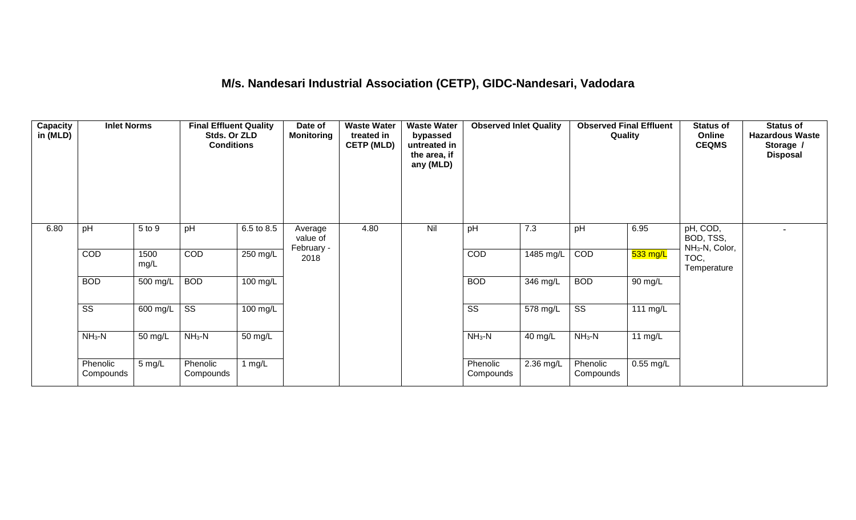## **M/s. Nandesari Industrial Association (CETP), GIDC-Nandesari, Vadodara**

| Capacity<br>in (MLD) | <b>Inlet Norms</b>     |              | <b>Final Effluent Quality</b><br>Stds. Or ZLD<br><b>Conditions</b> |            | Date of<br>Monitoring             | <b>Waste Water</b><br>treated in<br><b>CETP (MLD)</b> | <b>Waste Water</b><br>bypassed<br>untreated in<br>the area, if<br>any (MLD) | <b>Observed Inlet Quality</b> |           | <b>Observed Final Effluent</b><br>Quality |             | <b>Status of</b><br>Online<br><b>CEQMS</b>          | <b>Status of</b><br><b>Hazardous Waste</b><br>Storage /<br><b>Disposal</b> |
|----------------------|------------------------|--------------|--------------------------------------------------------------------|------------|-----------------------------------|-------------------------------------------------------|-----------------------------------------------------------------------------|-------------------------------|-----------|-------------------------------------------|-------------|-----------------------------------------------------|----------------------------------------------------------------------------|
| 6.80                 | pH                     | 5 to 9       | pH                                                                 | 6.5 to 8.5 | Average<br>value of<br>February - | 4.80                                                  | Nil                                                                         | pH                            | 7.3       | pH                                        | 6.95        | pH, COD,<br>BOD, TSS,<br>NH <sub>3</sub> -N, Color, |                                                                            |
|                      | COD                    | 1500<br>mg/L | COD                                                                | 250 mg/L   | 2018                              |                                                       |                                                                             | COD                           | 1485 mg/L | COD                                       | $533$ mg/L  | TOC,<br>Temperature                                 |                                                                            |
|                      | <b>BOD</b>             | 500 mg/L     | <b>BOD</b>                                                         | 100 mg/L   |                                   |                                                       |                                                                             | <b>BOD</b>                    | 346 mg/L  | <b>BOD</b>                                | 90 mg/L     |                                                     |                                                                            |
|                      | $\overline{\text{SS}}$ | 600 mg/L     | $\overline{\text{ss}}$                                             | 100 mg/L   |                                   |                                                       |                                                                             | $\overline{\text{ss}}$        | 578 mg/L  | $\overline{\text{ss}}$                    | 111 mg/L    |                                                     |                                                                            |
|                      | $NH3-N$                | 50 mg/L      | $NH3-N$                                                            | 50 mg/L    |                                   |                                                       |                                                                             | $NH_3-N$                      | 40 mg/L   | $NH3-N$                                   | 11 $mg/L$   |                                                     |                                                                            |
|                      | Phenolic<br>Compounds  | $5$ mg/L     | Phenolic<br>Compounds                                              | 1 mg/L     |                                   |                                                       |                                                                             | Phenolic<br>Compounds         | 2.36 mg/L | Phenolic<br>Compounds                     | $0.55$ mg/L |                                                     |                                                                            |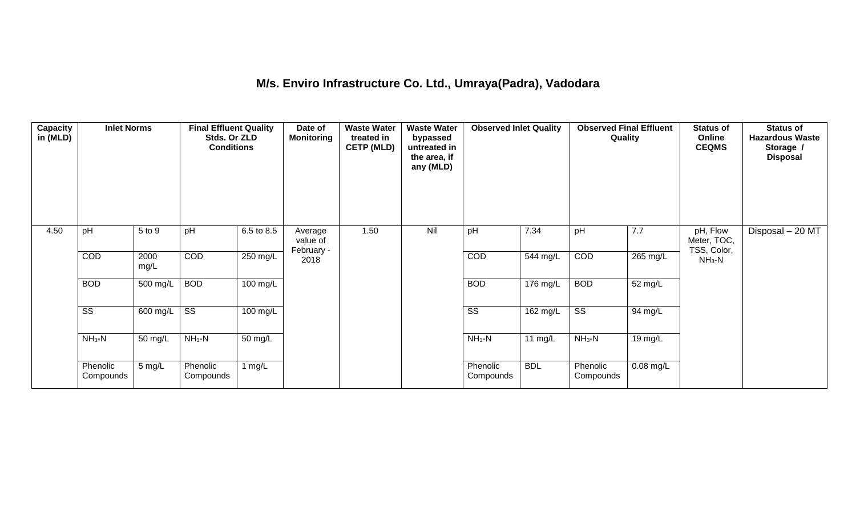## **M/s. Enviro Infrastructure Co. Ltd., Umraya(Padra), Vadodara**

| Capacity<br>in (MLD) | <b>Inlet Norms</b>     |              | <b>Final Effluent Quality</b><br>Stds. Or ZLD<br><b>Conditions</b> |                    | Date of<br><b>Monitoring</b>      | <b>Waste Water</b><br>treated in<br><b>CETP (MLD)</b> | <b>Waste Water</b><br>bypassed<br>untreated in<br>the area, if<br>any (MLD) | <b>Observed Inlet Quality</b> |                       | Quality                | <b>Observed Final Effluent</b> | <b>Status of</b><br>Online<br><b>CEQMS</b> | <b>Status of</b><br><b>Hazardous Waste</b><br>Storage /<br><b>Disposal</b> |
|----------------------|------------------------|--------------|--------------------------------------------------------------------|--------------------|-----------------------------------|-------------------------------------------------------|-----------------------------------------------------------------------------|-------------------------------|-----------------------|------------------------|--------------------------------|--------------------------------------------|----------------------------------------------------------------------------|
| 4.50                 | pH                     | 5 to 9       | pH                                                                 | 6.5 to 8.5         | Average<br>value of<br>February - | 1.50                                                  | Nil                                                                         | pH                            | 7.34                  | pH                     | 7.7                            | pH, Flow<br>Meter, TOC,<br>TSS, Color,     | Disposal - 20 MT                                                           |
|                      | <b>COD</b>             | 2000<br>mg/L | COD                                                                | 250 mg/L           | 2018                              |                                                       |                                                                             | <b>COD</b>                    | 544 mg/L              | COD                    | 265 mg/L                       | $NH3-N$                                    |                                                                            |
|                      | <b>BOD</b>             | 500 mg/L     | <b>BOD</b>                                                         | 100 mg/L           |                                   |                                                       |                                                                             | <b>BOD</b>                    | $\overline{176}$ mg/L | <b>BOD</b>             | 52 mg/L                        |                                            |                                                                            |
|                      | $\overline{\text{ss}}$ | 600 mg/L     | $\overline{\text{ss}}$                                             | $100 \text{ mg/L}$ |                                   |                                                       |                                                                             | $\overline{\text{SS}}$        | $162$ mg/L            | $\overline{\text{ss}}$ | 94 mg/L                        |                                            |                                                                            |
|                      | $NH3-N$                | 50 mg/L      | $NH3-N$                                                            | 50 mg/L            |                                   |                                                       |                                                                             | $NH_3-N$                      | 11 $mg/L$             | $NH3-N$                | 19 mg/L                        |                                            |                                                                            |
|                      | Phenolic<br>Compounds  | 5 mg/L       | Phenolic<br>Compounds                                              | 1 $mg/L$           |                                   |                                                       |                                                                             | Phenolic<br>Compounds         | <b>BDL</b>            | Phenolic<br>Compounds  | 0.08 mg/L                      |                                            |                                                                            |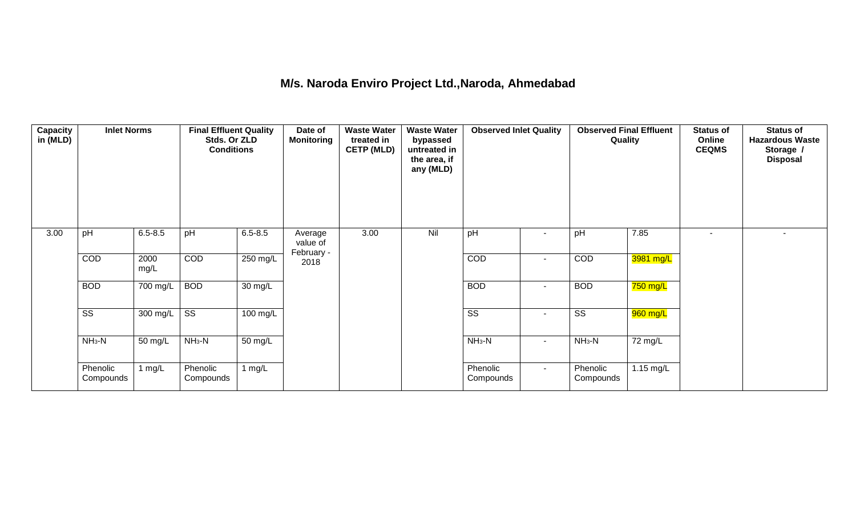#### **M/s. Naroda Enviro Project Ltd.,Naroda, Ahmedabad**

| Capacity<br>in (MLD) | <b>Inlet Norms</b>     |              | <b>Final Effluent Quality</b><br>Stds. Or ZLD<br><b>Conditions</b> |                   | Date of<br><b>Monitoring</b>      | <b>Waste Water</b><br>treated in<br><b>CETP (MLD)</b> | <b>Waste Water</b><br>bypassed<br>untreated in<br>the area, if<br>any (MLD) | <b>Observed Inlet Quality</b> |                          | <b>Observed Final Effluent</b><br>Quality |             | <b>Status of</b><br>Online<br><b>CEQMS</b> | <b>Status of</b><br><b>Hazardous Waste</b><br>Storage /<br><b>Disposal</b> |
|----------------------|------------------------|--------------|--------------------------------------------------------------------|-------------------|-----------------------------------|-------------------------------------------------------|-----------------------------------------------------------------------------|-------------------------------|--------------------------|-------------------------------------------|-------------|--------------------------------------------|----------------------------------------------------------------------------|
| 3.00                 | pH                     | $6.5 - 8.5$  | pH                                                                 | $6.5 - 8.5$       | Average<br>value of<br>February - | 3.00                                                  | Nil                                                                         | pH                            | $\overline{\phantom{a}}$ | pH                                        | 7.85        | $\blacksquare$                             | $\overline{a}$                                                             |
|                      | COD                    | 2000<br>mg/L | COD                                                                | 250 mg/L          | 2018                              |                                                       |                                                                             | COD                           | $\sim$                   | COD                                       | 3981 mg/L   |                                            |                                                                            |
|                      | <b>BOD</b>             | 700 mg/L     | <b>BOD</b>                                                         | $30 \text{ mg/L}$ |                                   |                                                       |                                                                             | <b>BOD</b>                    | $\blacksquare$           | <b>BOD</b>                                | 750 mg/L    |                                            |                                                                            |
|                      | $\overline{\text{ss}}$ | 300 mg/L     | $\overline{\text{ss}}$                                             | $100$ mg/L        |                                   |                                                       |                                                                             | $\overline{\text{ss}}$        | $\sim$                   | $\overline{\text{ss}}$                    | 960 mg/L    |                                            |                                                                            |
|                      | $NH3-N$                | 50 mg/L      | $NH3-N$                                                            | 50 mg/L           |                                   |                                                       |                                                                             | $NH3-N$                       | $\blacksquare$           | $NH3-N$                                   | 72 mg/L     |                                            |                                                                            |
|                      | Phenolic<br>Compounds  | 1 $mg/L$     | Phenolic<br>Compounds                                              | 1 $mg/L$          |                                   |                                                       |                                                                             | Phenolic<br>Compounds         | $\sim$                   | Phenolic<br>Compounds                     | $1.15$ mg/L |                                            |                                                                            |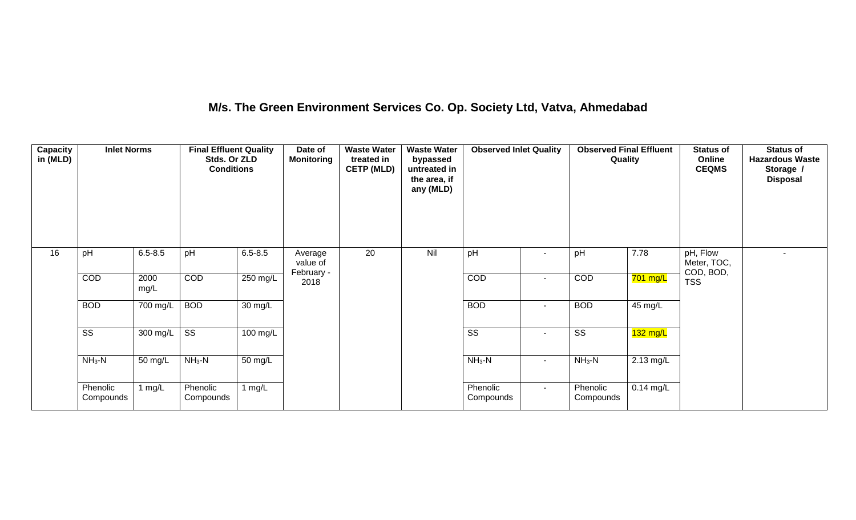## **M/s. The Green Environment Services Co. Op. Society Ltd, Vatva, Ahmedabad**

| Capacity<br>in (MLD) | <b>Inlet Norms</b>     |              | <b>Final Effluent Quality</b><br>Stds. Or ZLD<br><b>Conditions</b> |                   | Date of<br>Monitoring             | <b>Waste Water</b><br>treated in<br><b>CETP (MLD)</b> | <b>Waste Water</b><br>bypassed<br>untreated in<br>the area, if<br>any (MLD) | <b>Observed Inlet Quality</b> |                | <b>Observed Final Effluent</b><br>Quality |                       | <b>Status of</b><br>Online<br><b>CEQMS</b> | <b>Status of</b><br><b>Hazardous Waste</b><br>Storage /<br><b>Disposal</b> |
|----------------------|------------------------|--------------|--------------------------------------------------------------------|-------------------|-----------------------------------|-------------------------------------------------------|-----------------------------------------------------------------------------|-------------------------------|----------------|-------------------------------------------|-----------------------|--------------------------------------------|----------------------------------------------------------------------------|
| 16                   | pH                     | $6.5 - 8.5$  | pH                                                                 | $6.5 - 8.5$       | Average<br>value of<br>February - | 20                                                    | Nil                                                                         | pH                            |                | pH                                        | 7.78                  | pH, Flow<br>Meter, TOC,<br>COD, BOD,       |                                                                            |
|                      | COD                    | 2000<br>mg/L | COD                                                                | 250 mg/L          | 2018                              |                                                       |                                                                             | <b>COD</b>                    |                | COD                                       | $701$ mg/L            | <b>TSS</b>                                 |                                                                            |
|                      | <b>BOD</b>             | 700 mg/L     | <b>BOD</b>                                                         | $30 \text{ mg/L}$ |                                   |                                                       |                                                                             | <b>BOD</b>                    | $\sim$         | <b>BOD</b>                                | 45 mg/L               |                                            |                                                                            |
|                      | $\overline{\text{ss}}$ | 300 mg/L     | $\overline{\text{ss}}$                                             | $100$ mg/L        |                                   |                                                       |                                                                             | $\overline{\text{ss}}$        | $\sim$         | $\overline{\text{ss}}$                    | $\overline{132}$ mg/L |                                            |                                                                            |
|                      | $NH3-N$                | 50 mg/L      | $NH3-N$                                                            | 50 mg/L           |                                   |                                                       |                                                                             | $NH_3-N$                      | $\blacksquare$ | $NH3-N$                                   | 2.13 mg/L             |                                            |                                                                            |
|                      | Phenolic<br>Compounds  | 1 $mg/L$     | Phenolic<br>Compounds                                              | 1 $mg/L$          |                                   |                                                       |                                                                             | Phenolic<br>Compounds         | $\sim$         | Phenolic<br>Compounds                     | $0.14$ mg/L           |                                            |                                                                            |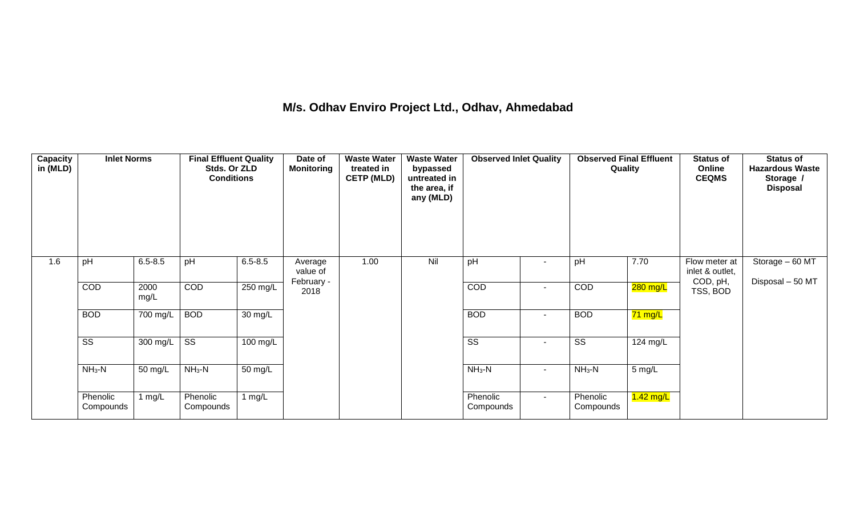## **M/s. Odhav Enviro Project Ltd., Odhav, Ahmedabad**

| Capacity<br>in (MLD) | <b>Inlet Norms</b>     |              | <b>Final Effluent Quality</b><br>Stds. Or ZLD<br><b>Conditions</b> |             | Date of<br><b>Monitoring</b> | <b>Waste Water</b><br>treated in<br><b>CETP (MLD)</b> | <b>Waste Water</b><br>bypassed<br>untreated in<br>the area, if<br>any (MLD) | <b>Observed Inlet Quality</b> |                          | <b>Observed Final Effluent</b><br>Quality |                  | <b>Status of</b><br>Online<br><b>CEQMS</b> | <b>Status of</b><br><b>Hazardous Waste</b><br>Storage /<br><b>Disposal</b> |
|----------------------|------------------------|--------------|--------------------------------------------------------------------|-------------|------------------------------|-------------------------------------------------------|-----------------------------------------------------------------------------|-------------------------------|--------------------------|-------------------------------------------|------------------|--------------------------------------------|----------------------------------------------------------------------------|
| 1.6                  | pH                     | $6.5 - 8.5$  | pH                                                                 | $6.5 - 8.5$ | Average<br>value of          | 1.00                                                  | Nil                                                                         | pH                            |                          | pH                                        | 7.70             | Flow meter at<br>inlet & outlet,           | Storage - 60 MT                                                            |
|                      | COD                    | 2000<br>mg/L | COD                                                                | 250 mg/L    | February -<br>2018           |                                                       |                                                                             | COD                           | $\sim$                   | COD                                       | 280 mg/L         | COD, pH,<br>TSS, BOD                       | Disposal - 50 MT                                                           |
|                      | <b>BOD</b>             | 700 mg/L     | <b>BOD</b>                                                         | 30 mg/L     |                              |                                                       |                                                                             | <b>BOD</b>                    |                          | <b>BOD</b>                                | 71 mg/L          |                                            |                                                                            |
|                      | $\overline{\text{ss}}$ | 300 mg/L     | $\overline{\text{ss}}$                                             | 100 mg/L    |                              |                                                       |                                                                             | $\overline{\text{SS}}$        | $\overline{\phantom{a}}$ | $\overline{\text{SS}}$                    | $124$ mg/L       |                                            |                                                                            |
|                      | $NH3-N$                | 50 mg/L      | $NH3-N$                                                            | 50 mg/L     |                              |                                                       |                                                                             | $NH3-N$                       | $\sim$                   | $NH3-N$                                   | $5 \text{ mg/L}$ |                                            |                                                                            |
|                      | Phenolic<br>Compounds  | 1 mg/L       | Phenolic<br>Compounds                                              | 1 $mg/L$    |                              |                                                       |                                                                             | Phenolic<br>Compounds         | $\sim$                   | Phenolic<br>Compounds                     | $1.42$ mg/L      |                                            |                                                                            |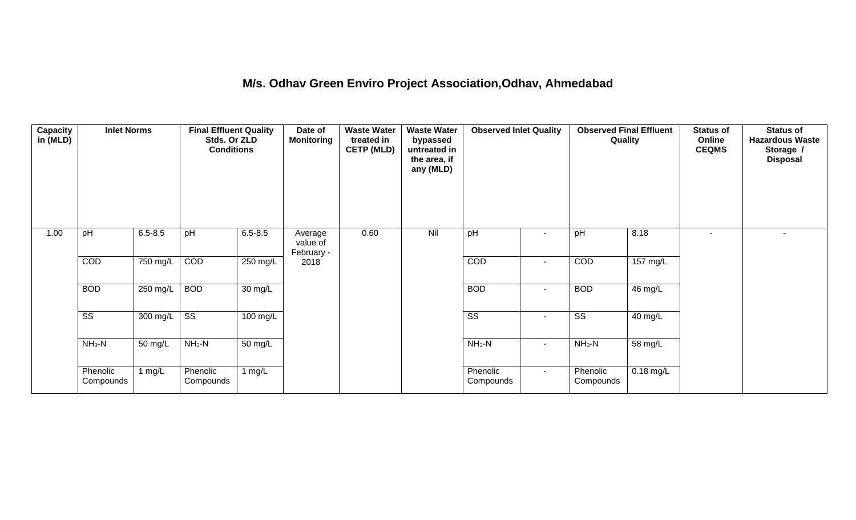#### **M/s. Odhav Green Enviro Project Association,Odhav, Ahmedabad**

| Capacity<br>in (MLD) | <b>Inlet Norms</b>     |             | <b>Final Effluent Quality</b><br>Stds. Or ZLD<br><b>Conditions</b> |                      | Date of<br>Monitoring             | <b>Waste Water</b><br>treated in<br><b>CETP (MLD)</b> | <b>Waste Water</b><br>bypassed<br>untreated in<br>the area, if<br>any (MLD) | <b>Observed Inlet Quality</b> |                | <b>Observed Final Effluent</b><br>Quality |             | <b>Status of</b><br>Online<br><b>CEQMS</b> | <b>Status of</b><br><b>Hazardous Waste</b><br>Storage /<br><b>Disposal</b> |
|----------------------|------------------------|-------------|--------------------------------------------------------------------|----------------------|-----------------------------------|-------------------------------------------------------|-----------------------------------------------------------------------------|-------------------------------|----------------|-------------------------------------------|-------------|--------------------------------------------|----------------------------------------------------------------------------|
| 1.00                 | pH                     | $6.5 - 8.5$ | pH                                                                 | $6.5 - 8.5$          | Average<br>value of<br>February - | 0.60                                                  | Nil                                                                         | pH                            | $\sim$         | pH                                        | 8.18        | $\blacksquare$                             | $\sim$                                                                     |
|                      | COD                    | 750 mg/L    | COD                                                                | 250 mg/L             | 2018                              |                                                       |                                                                             | <b>COD</b>                    | $\blacksquare$ | COD                                       | 157 mg/L    |                                            |                                                                            |
|                      | <b>BOD</b>             | 250 mg/L    | <b>BOD</b>                                                         | 30 mg/L              |                                   |                                                       |                                                                             | <b>BOD</b>                    | $\blacksquare$ | <b>BOD</b>                                | 46 mg/L     |                                            |                                                                            |
|                      | $\overline{\text{ss}}$ | 300 mg/L    | $\overline{\text{SS}}$                                             | 100 mg/L             |                                   |                                                       |                                                                             | $\overline{\text{ss}}$        | $\blacksquare$ | $\overline{\text{SS}}$                    | 40 mg/L     |                                            |                                                                            |
|                      | $NH3-N$                | 50 mg/L     | $NH_3-N$                                                           | $\overline{50}$ mg/L |                                   |                                                       |                                                                             | $NH_3-N$                      | $\blacksquare$ | $NH3-N$                                   | 58 mg/L     |                                            |                                                                            |
|                      | Phenolic<br>Compounds  | 1 $mg/L$    | Phenolic<br>Compounds                                              | 1 $mg/L$             |                                   |                                                       |                                                                             | Phenolic<br>Compounds         | $\sim$         | Phenolic<br>Compounds                     | $0.18$ mg/L |                                            |                                                                            |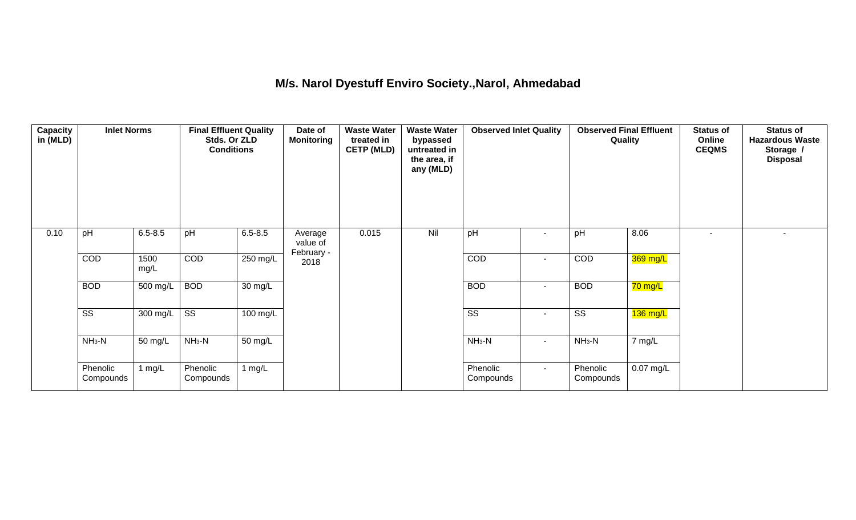## **M/s. Narol Dyestuff Enviro Society.,Narol, Ahmedabad**

| <b>Capacity</b><br>in (MLD) | <b>Inlet Norms</b>     |              | <b>Final Effluent Quality</b><br>Stds. Or ZLD<br><b>Conditions</b> |                    | Date of<br>Monitoring             | <b>Waste Water</b><br>treated in<br><b>CETP (MLD)</b> | <b>Waste Water</b><br>bypassed<br>untreated in<br>the area, if<br>any (MLD) | <b>Observed Inlet Quality</b> |                          | <b>Observed Final Effluent</b><br>Quality |             | <b>Status of</b><br>Online<br><b>CEQMS</b> | <b>Status of</b><br><b>Hazardous Waste</b><br>Storage /<br><b>Disposal</b> |
|-----------------------------|------------------------|--------------|--------------------------------------------------------------------|--------------------|-----------------------------------|-------------------------------------------------------|-----------------------------------------------------------------------------|-------------------------------|--------------------------|-------------------------------------------|-------------|--------------------------------------------|----------------------------------------------------------------------------|
| 0.10                        | pH                     | $6.5 - 8.5$  | pH                                                                 | $6.5 - 8.5$        | Average<br>value of<br>February - | 0.015                                                 | Nil                                                                         | pH                            | $\overline{\phantom{a}}$ | pH                                        | 8.06        | $\sim$                                     | $\overline{\phantom{a}}$                                                   |
|                             | COD                    | 1500<br>mg/L | COD                                                                | 250 mg/L           | 2018                              |                                                       |                                                                             | COD                           | $\overline{\phantom{a}}$ | COD                                       | 369 mg/L    |                                            |                                                                            |
|                             | <b>BOD</b>             | 500 mg/L     | <b>BOD</b>                                                         | 30 mg/L            |                                   |                                                       |                                                                             | <b>BOD</b>                    | $\sim$                   | <b>BOD</b>                                | 70 mg/L     |                                            |                                                                            |
|                             | $\overline{\text{ss}}$ | 300 mg/L     | $\overline{\text{ss}}$                                             | $100 \text{ mg/L}$ |                                   |                                                       |                                                                             | $\overline{\text{ss}}$        | $\blacksquare$           | $\overline{\text{ss}}$                    | $136$ mg/L  |                                            |                                                                            |
|                             | $NH3-N$                | 50 mg/L      | $NH3-N$                                                            | 50 mg/L            |                                   |                                                       |                                                                             | $NH3-N$                       | $\sim$                   | $NH3-N$                                   | 7 mg/L      |                                            |                                                                            |
|                             | Phenolic<br>Compounds  | 1 $mg/L$     | Phenolic<br>Compounds                                              | 1 $mg/L$           |                                   |                                                       |                                                                             | Phenolic<br>Compounds         | $\sim$                   | Phenolic<br>Compounds                     | $0.07$ mg/L |                                            |                                                                            |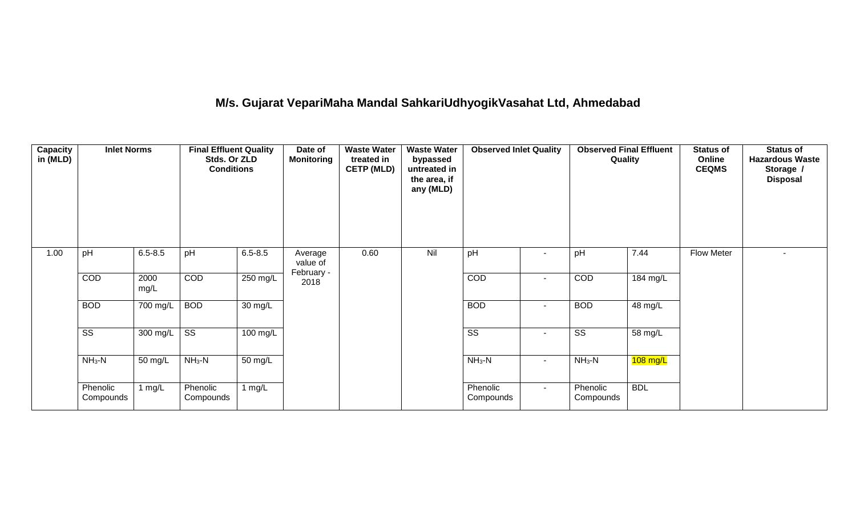# **M/s. Gujarat VepariMaha Mandal SahkariUdhyogikVasahat Ltd, Ahmedabad**

| <b>Capacity</b><br>in (MLD) | <b>Inlet Norms</b>     |                       | <b>Final Effluent Quality</b><br>Stds. Or ZLD<br><b>Conditions</b> |                   | Date of<br><b>Monitoring</b>      | <b>Waste Water</b><br>treated in<br><b>CETP (MLD)</b> | <b>Waste Water</b><br>bypassed<br>untreated in<br>the area, if<br>any (MLD) | <b>Observed Inlet Quality</b> |        | <b>Observed Final Effluent</b><br>Quality |                      | <b>Status of</b><br>Online<br><b>CEQMS</b> | <b>Status of</b><br><b>Hazardous Waste</b><br>Storage /<br><b>Disposal</b> |
|-----------------------------|------------------------|-----------------------|--------------------------------------------------------------------|-------------------|-----------------------------------|-------------------------------------------------------|-----------------------------------------------------------------------------|-------------------------------|--------|-------------------------------------------|----------------------|--------------------------------------------|----------------------------------------------------------------------------|
| 1.00                        | pH                     | $6.5 - 8.5$           | pH                                                                 | $6.5 - 8.5$       | Average<br>value of<br>February - | 0.60                                                  | Nil                                                                         | pH                            |        | pH                                        | 7.44                 | Flow Meter                                 |                                                                            |
|                             | COD                    | 2000<br>mg/L          | <b>COD</b>                                                         | 250 mg/L          | 2018                              |                                                       |                                                                             | COD                           | $\sim$ | COD                                       | 184 mg/L             |                                            |                                                                            |
|                             | <b>BOD</b>             | $\overline{700}$ mg/L | <b>BOD</b>                                                         | $30 \text{ mg/L}$ |                                   |                                                       |                                                                             | <b>BOD</b>                    | $\sim$ | <b>BOD</b>                                | $\overline{48}$ mg/L |                                            |                                                                            |
|                             | $\overline{\text{ss}}$ | 300 mg/L              | $\overline{\text{ss}}$                                             | $100$ mg/L        |                                   |                                                       |                                                                             | $\overline{\text{ss}}$        | $\sim$ | $\overline{\text{ss}}$                    | 58 mg/L              |                                            |                                                                            |
|                             | $NH3-N$                | 50 mg/L               | $NH3-N$                                                            | 50 mg/L           |                                   |                                                       |                                                                             | $NH3-N$                       | $\sim$ | $NH3-N$                                   | $108$ mg/L           |                                            |                                                                            |
|                             | Phenolic<br>Compounds  | mg/L                  | Phenolic<br>Compounds                                              | 1 $mg/L$          |                                   |                                                       |                                                                             | Phenolic<br>Compounds         | $\sim$ | Phenolic<br>Compounds                     | <b>BDL</b>           |                                            |                                                                            |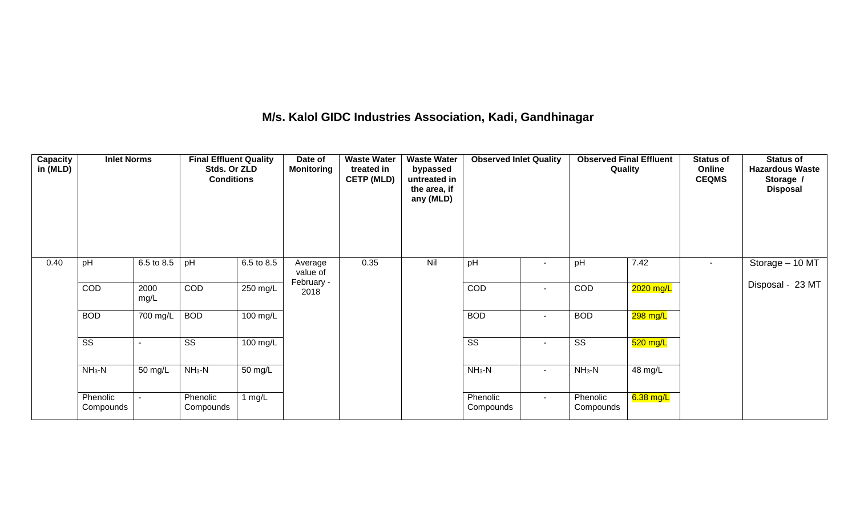## **M/s. Kalol GIDC Industries Association, Kadi, Gandhinagar**

| Capacity<br>in (MLD) | <b>Inlet Norms</b>    |              | <b>Final Effluent Quality</b><br>Stds. Or ZLD<br><b>Conditions</b> |            | Date of<br><b>Monitoring</b> | <b>Waste Water</b><br>treated in<br><b>CETP (MLD)</b> | <b>Waste Water</b><br>bypassed<br>untreated in<br>the area, if<br>any (MLD) | <b>Observed Inlet Quality</b> |                          | <b>Observed Final Effluent</b><br>Quality |             | <b>Status of</b><br>Online<br><b>CEQMS</b> | <b>Status of</b><br><b>Hazardous Waste</b><br>Storage /<br><b>Disposal</b> |
|----------------------|-----------------------|--------------|--------------------------------------------------------------------|------------|------------------------------|-------------------------------------------------------|-----------------------------------------------------------------------------|-------------------------------|--------------------------|-------------------------------------------|-------------|--------------------------------------------|----------------------------------------------------------------------------|
| 0.40                 | pH                    | 6.5 to 8.5   | pH                                                                 | 6.5 to 8.5 | Average<br>value of          | 0.35                                                  | Nil                                                                         | pH                            |                          | pH                                        | 7.42        | $\sim$                                     | Storage - 10 MT                                                            |
|                      | COD                   | 2000<br>mg/L | COD                                                                | 250 mg/L   | February -<br>2018           |                                                       |                                                                             | COD                           | $\sim$                   | COD                                       | 2020 mg/L   |                                            | Disposal - 23 MT                                                           |
|                      | <b>BOD</b>            | 700 mg/L     | <b>BOD</b>                                                         | 100 mg/L   |                              |                                                       |                                                                             | <b>BOD</b>                    | $\overline{\phantom{a}}$ | <b>BOD</b>                                | 298 mg/L    |                                            |                                                                            |
|                      | SS                    |              | SS                                                                 | 100 mg/L   |                              |                                                       |                                                                             | SS                            | $\overline{\phantom{a}}$ | SS                                        | $520$ mg/L  |                                            |                                                                            |
|                      | $NH3-N$               | 50 mg/L      | $NH3-N$                                                            | 50 mg/L    |                              |                                                       |                                                                             | $NH_3-N$                      | $\sim$                   | $NH3-N$                                   | 48 mg/L     |                                            |                                                                            |
|                      | Phenolic<br>Compounds |              | Phenolic<br>Compounds                                              | 1 $mg/L$   |                              |                                                       |                                                                             | Phenolic<br>Compounds         | $\sim$                   | Phenolic<br>Compounds                     | $6.38$ mg/L |                                            |                                                                            |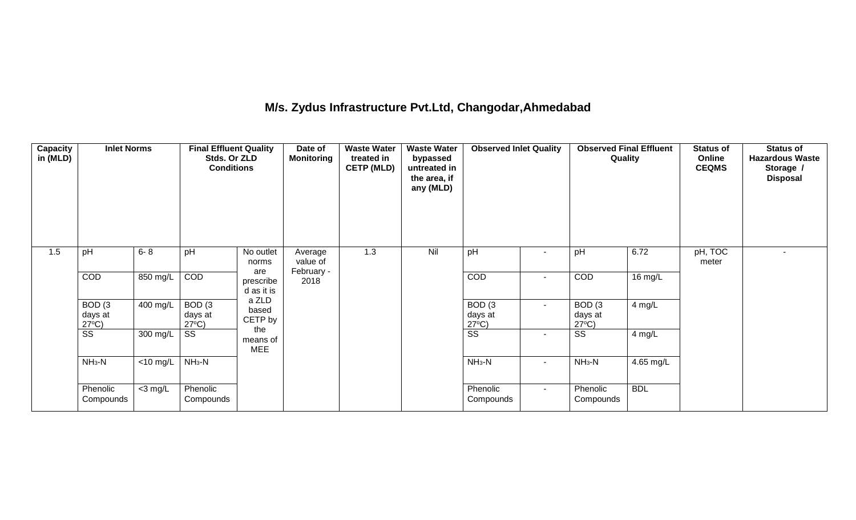## **M/s. Zydus Infrastructure Pvt.Ltd, Changodar,Ahmedabad**

| <b>Capacity</b><br>in (MLD) | <b>Inlet Norms</b>                              |             | <b>Final Effluent Quality</b><br>Stds. Or ZLD<br><b>Conditions</b> |                                | Date of<br><b>Monitoring</b> | <b>Waste Water</b><br>treated in<br><b>CETP (MLD)</b> | <b>Waste Water</b><br>bypassed<br>untreated in<br>the area, if<br>any (MLD) | <b>Observed Inlet Quality</b>                   |                          |                                                 | <b>Observed Final Effluent</b><br>Quality | <b>Status of</b><br>Online<br><b>CEQMS</b> | <b>Status of</b><br><b>Hazardous Waste</b><br>Storage /<br><b>Disposal</b> |
|-----------------------------|-------------------------------------------------|-------------|--------------------------------------------------------------------|--------------------------------|------------------------------|-------------------------------------------------------|-----------------------------------------------------------------------------|-------------------------------------------------|--------------------------|-------------------------------------------------|-------------------------------------------|--------------------------------------------|----------------------------------------------------------------------------|
| 1.5                         | pH                                              | $6 - 8$     | pH                                                                 | No outlet<br>norms             | Average<br>value of          | 1.3                                                   | Nil                                                                         | pH                                              | $\overline{\phantom{a}}$ | pH                                              | 6.72                                      | pH, TOC<br>meter                           |                                                                            |
|                             | COD                                             | 850 mg/L    | COD                                                                | are<br>prescribe<br>d as it is | February -<br>2018           |                                                       |                                                                             | COD                                             | $\sim$                   | COD                                             | 16 mg/L                                   |                                            |                                                                            |
|                             | BOD <sub>(3</sub><br>days at<br>$27^{\circ}C$ ) | 400 mg/L    | BOD <sub>(3</sub><br>days at<br>$27^{\circ}C$ )                    | a ZLD<br>based<br>CETP by      |                              |                                                       |                                                                             | BOD <sub>(3</sub><br>days at<br>$27^{\circ}C$ ) | $\sim$                   | BOD <sub>(3</sub><br>days at<br>$27^{\circ}C$ ) | $4$ mg/L                                  |                                            |                                                                            |
|                             | $\overline{\text{ss}}$                          | 300 mg/L    | SS                                                                 | the<br>means of<br><b>MEE</b>  |                              |                                                       |                                                                             | $\overline{\text{ss}}$                          | $\sim$                   | SS                                              | 4 mg/L                                    |                                            |                                                                            |
|                             | $NH3-N$                                         | $<$ 10 mg/L | $NH3-N$                                                            |                                |                              |                                                       |                                                                             | $NH3-N$                                         | $\sim$                   | $NH3-N$                                         | $4.65 \text{ mg/L}$                       |                                            |                                                                            |
|                             | Phenolic<br>Compounds                           | $<$ 3 mg/L  | Phenolic<br>Compounds                                              |                                |                              |                                                       |                                                                             | Phenolic<br>Compounds                           | $\sim$                   | Phenolic<br>Compounds                           | <b>BDL</b>                                |                                            |                                                                            |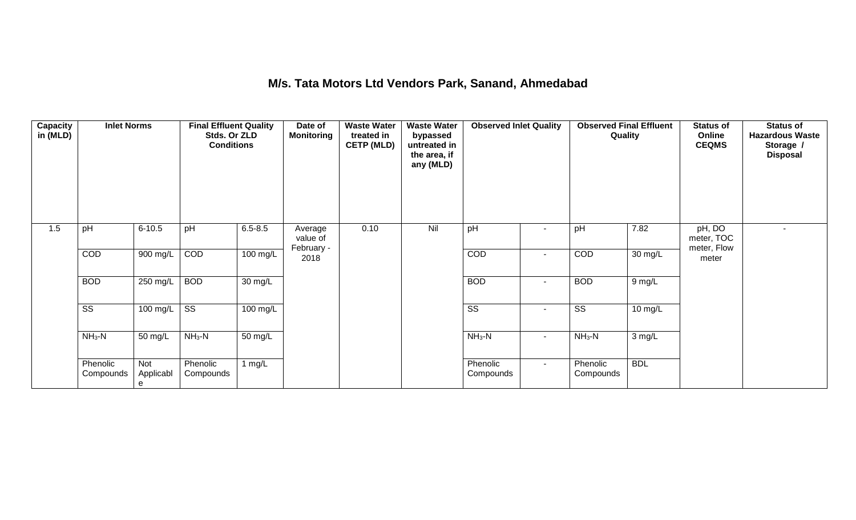## **M/s. Tata Motors Ltd Vendors Park, Sanand, Ahmedabad**

| Capacity<br>in (MLD) | <b>Inlet Norms</b>     |                       | <b>Final Effluent Quality</b><br>Stds. Or ZLD<br><b>Conditions</b> |                   | Date of<br>Monitoring             | <b>Waste Water</b><br>treated in<br><b>CETP (MLD)</b> | <b>Waste Water</b><br>bypassed<br>untreated in<br>the area, if<br>any (MLD) | <b>Observed Inlet Quality</b> |                | <b>Observed Final Effluent</b><br>Quality |            | <b>Status of</b><br>Online<br><b>CEQMS</b> | <b>Status of</b><br><b>Hazardous Waste</b><br>Storage /<br><b>Disposal</b> |
|----------------------|------------------------|-----------------------|--------------------------------------------------------------------|-------------------|-----------------------------------|-------------------------------------------------------|-----------------------------------------------------------------------------|-------------------------------|----------------|-------------------------------------------|------------|--------------------------------------------|----------------------------------------------------------------------------|
| 1.5                  | pH                     | $6 - 10.5$            | pH                                                                 | $6.5 - 8.5$       | Average<br>value of<br>February - | 0.10                                                  | Nil                                                                         | pH                            | $\blacksquare$ | pH                                        | 7.82       | pH, DO<br>meter, TOC<br>meter, Flow        | $\sim$                                                                     |
|                      | COD                    | 900 mg/L              | COD                                                                | $100$ mg/L        | 2018                              |                                                       |                                                                             | COD                           | $\sim$         | COD                                       | 30 mg/L    | meter                                      |                                                                            |
|                      | <b>BOD</b>             | $250$ mg/L            | <b>BOD</b>                                                         | $30 \text{ mg/L}$ |                                   |                                                       |                                                                             | <b>BOD</b>                    | $\sim$         | <b>BOD</b>                                | 9 mg/L     |                                            |                                                                            |
|                      | $\overline{\text{ss}}$ | 100 mg/L              | SS                                                                 | 100 mg/L          |                                   |                                                       |                                                                             | $\overline{\text{ss}}$        | $\sim$         | SS                                        | 10 mg/L    |                                            |                                                                            |
|                      | $NH_3-N$               | 50 mg/L               | $NH3-N$                                                            | 50 mg/L           |                                   |                                                       |                                                                             | $NH3-N$                       | $\sim$         | $NH_3-N$                                  | 3 mg/L     |                                            |                                                                            |
|                      | Phenolic<br>Compounds  | Not<br>Applicabl<br>e | Phenolic<br>Compounds                                              | 1 $mg/L$          |                                   |                                                       |                                                                             | Phenolic<br>Compounds         | $\sim$         | Phenolic<br>Compounds                     | <b>BDL</b> |                                            |                                                                            |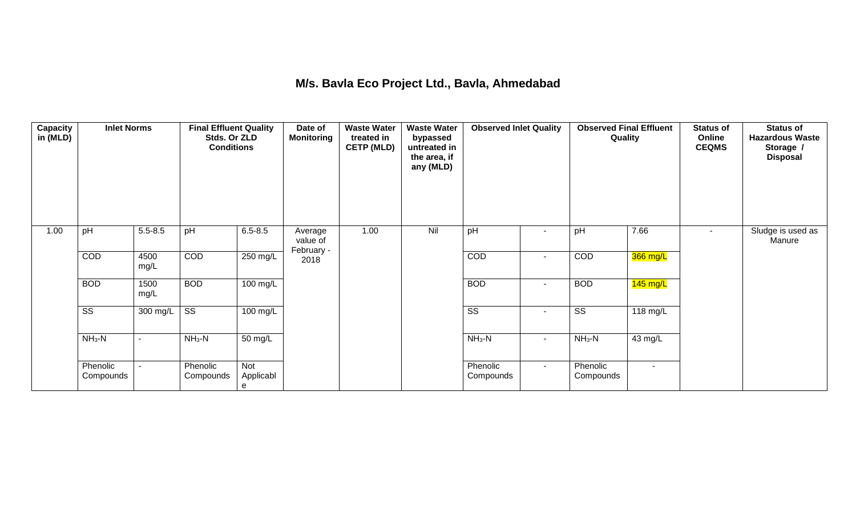## **M/s. Bavla Eco Project Ltd., Bavla, Ahmedabad**

| <b>Capacity</b><br>in (MLD) | <b>Inlet Norms</b>     |                          | <b>Final Effluent Quality</b><br>Stds. Or ZLD<br><b>Conditions</b> |                       | Date of<br><b>Monitoring</b> | <b>Waste Water</b><br>treated in<br><b>CETP (MLD)</b> | <b>Waste Water</b><br>bypassed<br>untreated in<br>the area, if<br>any (MLD) | <b>Observed Inlet Quality</b> |                          |                        | <b>Observed Final Effluent</b><br>Quality | <b>Status of</b><br>Online<br><b>CEQMS</b> | <b>Status of</b><br><b>Hazardous Waste</b><br>Storage /<br><b>Disposal</b> |
|-----------------------------|------------------------|--------------------------|--------------------------------------------------------------------|-----------------------|------------------------------|-------------------------------------------------------|-----------------------------------------------------------------------------|-------------------------------|--------------------------|------------------------|-------------------------------------------|--------------------------------------------|----------------------------------------------------------------------------|
| 1.00                        | pH                     | $5.5 - 8.5$              | pH                                                                 | $6.5 - 8.5$           | Average<br>value of          | 1.00                                                  | Nil                                                                         | pH                            | $\overline{\phantom{a}}$ | pH                     | 7.66                                      | $\blacksquare$                             | Sludge is used as<br>Manure                                                |
|                             | COD                    | 4500<br>mg/L             | COD                                                                | 250 mg/L              | February -<br>2018           |                                                       |                                                                             | COD                           | $\overline{\phantom{a}}$ | COD                    | 366 mg/L                                  |                                            |                                                                            |
|                             | <b>BOD</b>             | 1500<br>mg/L             | <b>BOD</b>                                                         | $100$ mg/L            |                              |                                                       |                                                                             | <b>BOD</b>                    | $\blacksquare$           | <b>BOD</b>             | $145$ mg/L                                |                                            |                                                                            |
|                             | $\overline{\text{ss}}$ | 300 mg/L                 | $\overline{\text{ss}}$                                             | 100 mg/L              |                              |                                                       |                                                                             | $\overline{\text{ss}}$        | $\overline{\phantom{a}}$ | $\overline{\text{ss}}$ | 118 mg/L                                  |                                            |                                                                            |
|                             | $NH3-N$                | $\overline{\phantom{a}}$ | $NH_3-N$                                                           | 50 mg/L               |                              |                                                       |                                                                             | $NH_3-N$                      | $\overline{\phantom{a}}$ | $NH3-N$                | 43 mg/L                                   |                                            |                                                                            |
|                             | Phenolic<br>Compounds  |                          | Phenolic<br>Compounds                                              | Not<br>Applicabl<br>e |                              |                                                       |                                                                             | Phenolic<br>Compounds         | $\overline{\phantom{a}}$ | Phenolic<br>Compounds  | $\sim$                                    |                                            |                                                                            |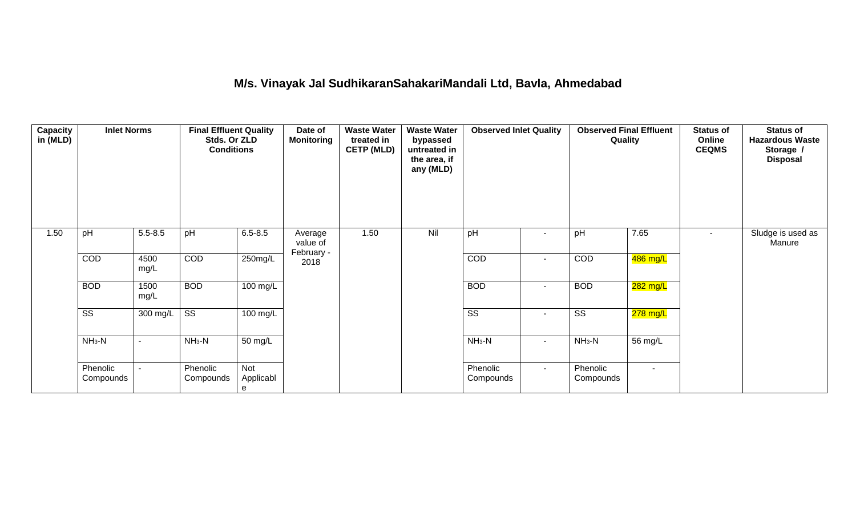#### **M/s. Vinayak Jal SudhikaranSahakariMandali Ltd, Bavla, Ahmedabad**

| Capacity<br>in (MLD) | <b>Inlet Norms</b>     |              | <b>Final Effluent Quality</b><br>Stds. Or ZLD<br><b>Conditions</b> |                       | Date of<br><b>Monitoring</b>      | <b>Waste Water</b><br>treated in<br><b>CETP (MLD)</b> | <b>Waste Water</b><br>bypassed<br>untreated in<br>the area, if<br>any (MLD) | <b>Observed Inlet Quality</b> |                | <b>Observed Final Effluent</b><br>Quality |                       | <b>Status of</b><br>Online<br><b>CEQMS</b> | <b>Status of</b><br><b>Hazardous Waste</b><br>Storage /<br><b>Disposal</b> |
|----------------------|------------------------|--------------|--------------------------------------------------------------------|-----------------------|-----------------------------------|-------------------------------------------------------|-----------------------------------------------------------------------------|-------------------------------|----------------|-------------------------------------------|-----------------------|--------------------------------------------|----------------------------------------------------------------------------|
| 1.50                 | pH                     | $5.5 - 8.5$  | pH                                                                 | $6.5 - 8.5$           | Average<br>value of<br>February - | 1.50                                                  | Nil                                                                         | pH                            | $\sim$         | pH                                        | 7.65                  | $\overline{\phantom{a}}$                   | Sludge is used as<br>Manure                                                |
|                      | COD                    | 4500<br>mg/L | <b>COD</b>                                                         | 250mg/L               | 2018                              |                                                       |                                                                             | COD                           | $\sim$         | COD                                       | 486 mg/L              |                                            |                                                                            |
|                      | <b>BOD</b>             | 1500<br>mg/L | <b>BOD</b>                                                         | 100 mg/L              |                                   |                                                       |                                                                             | <b>BOD</b>                    | $\blacksquare$ | <b>BOD</b>                                | <mark>282 mg/L</mark> |                                            |                                                                            |
|                      | $\overline{\text{ss}}$ | 300 mg/L     | $\overline{\text{SS}}$                                             | 100 mg/L              |                                   |                                                       |                                                                             | SS                            | ۰              | $\overline{\text{SS}}$                    | <mark>278 mg/L</mark> |                                            |                                                                            |
|                      | $NH3-N$                |              | $NH3-N$                                                            | 50 mg/L               |                                   |                                                       |                                                                             | $NH3-N$                       | $\sim$         | $NH3-N$                                   | 56 mg/L               |                                            |                                                                            |
|                      | Phenolic<br>Compounds  |              | Phenolic<br>Compounds                                              | Not<br>Applicabl<br>e |                                   |                                                       |                                                                             | Phenolic<br>Compounds         | $\blacksquare$ | Phenolic<br>Compounds                     |                       |                                            |                                                                            |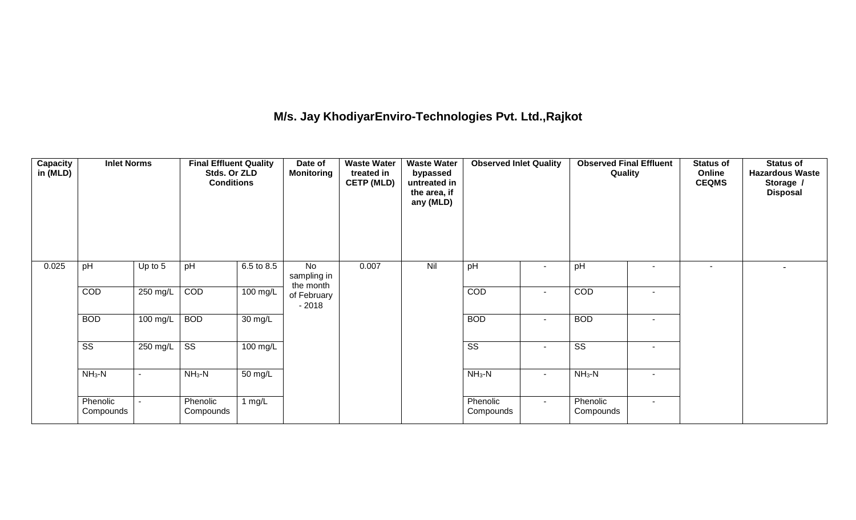## **M/s. Jay KhodiyarEnviro-Technologies Pvt. Ltd.,Rajkot**

| <b>Capacity</b><br>in (MLD) | <b>Inlet Norms</b>     |                          | <b>Final Effluent Quality</b><br>Stds. Or ZLD<br><b>Conditions</b> |            | Date of<br><b>Monitoring</b>        | <b>Waste Water</b><br>treated in<br><b>CETP (MLD)</b> | <b>Waste Water</b><br>bypassed<br>untreated in<br>the area, if<br>any (MLD) | <b>Observed Inlet Quality</b> |                | Quality                |                          | <b>Status of</b><br>Online<br><b>CEQMS</b> | <b>Status of</b><br><b>Hazardous Waste</b><br>Storage /<br><b>Disposal</b> |
|-----------------------------|------------------------|--------------------------|--------------------------------------------------------------------|------------|-------------------------------------|-------------------------------------------------------|-----------------------------------------------------------------------------|-------------------------------|----------------|------------------------|--------------------------|--------------------------------------------|----------------------------------------------------------------------------|
| 0.025                       | pH                     | Up to 5                  | pH                                                                 | 6.5 to 8.5 | No<br>sampling in                   | 0.007                                                 | Nil                                                                         | pH                            | ۰              | pH                     |                          | $\sim$                                     |                                                                            |
|                             | COD                    | 250 mg/L                 | COD                                                                | 100 mg/L   | the month<br>of February<br>$-2018$ |                                                       |                                                                             | COD                           | $\blacksquare$ | COD                    | $\overline{\phantom{a}}$ |                                            |                                                                            |
|                             | <b>BOD</b>             | 100 mg/L                 | <b>BOD</b>                                                         | 30 mg/L    |                                     |                                                       |                                                                             | <b>BOD</b>                    | $\blacksquare$ | <b>BOD</b>             |                          |                                            |                                                                            |
|                             | $\overline{\text{ss}}$ | 250 mg/L                 | $\overline{\text{ss}}$                                             | $100$ mg/L |                                     |                                                       |                                                                             | $\overline{\text{ss}}$        | $\blacksquare$ | $\overline{\text{ss}}$ | $\sim$                   |                                            |                                                                            |
|                             | $NH3-N$                | $\overline{\phantom{a}}$ | $NH3-N$                                                            | 50 mg/L    |                                     |                                                       |                                                                             | $NH3-N$                       | $\sim$         | $NH_3-N$               | $\overline{\phantom{a}}$ |                                            |                                                                            |
|                             | Phenolic<br>Compounds  |                          | Phenolic<br>Compounds                                              | 1 $mg/L$   |                                     |                                                       |                                                                             | Phenolic<br>Compounds         | $\sim$         | Phenolic<br>Compounds  | $\sim$                   |                                            |                                                                            |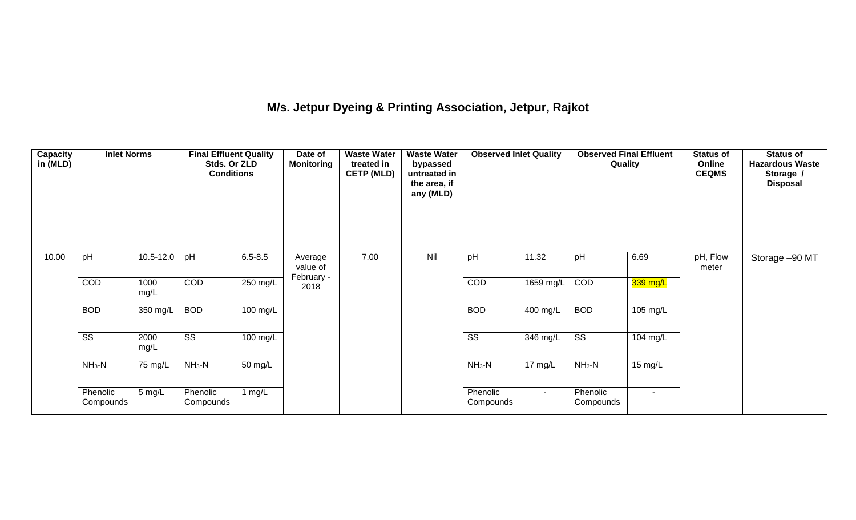## **M/s. Jetpur Dyeing & Printing Association, Jetpur, Rajkot**

| Capacity<br>in (MLD) | <b>Inlet Norms</b>     |              | <b>Final Effluent Quality</b><br>Stds. Or ZLD<br><b>Conditions</b> |                      | Date of<br><b>Monitoring</b>      | <b>Waste Water</b><br>treated in<br><b>CETP (MLD)</b> | <b>Waste Water</b><br>bypassed<br>untreated in<br>the area, if<br>any (MLD) | <b>Observed Inlet Quality</b> |            | <b>Observed Final Effluent</b><br>Quality |          | <b>Status of</b><br>Online<br><b>CEQMS</b> | <b>Status of</b><br><b>Hazardous Waste</b><br>Storage /<br><b>Disposal</b> |
|----------------------|------------------------|--------------|--------------------------------------------------------------------|----------------------|-----------------------------------|-------------------------------------------------------|-----------------------------------------------------------------------------|-------------------------------|------------|-------------------------------------------|----------|--------------------------------------------|----------------------------------------------------------------------------|
| 10.00                | pH                     | 10.5-12.0    | pH                                                                 | $6.5 - 8.5$          | Average<br>value of<br>February - | 7.00                                                  | Nil                                                                         | pH                            | 11.32      | pH                                        | 6.69     | pH, Flow<br>meter                          | Storage -90 MT                                                             |
|                      | COD                    | 1000<br>mg/L | COD                                                                | 250 mg/L             | 2018                              |                                                       |                                                                             | COD                           | 1659 mg/L  | COD                                       | 339 mg/L |                                            |                                                                            |
|                      | <b>BOD</b>             | 350 mg/L     | <b>BOD</b>                                                         | $100 \text{ mg/L}$   |                                   |                                                       |                                                                             | <b>BOD</b>                    | $400$ mg/L | <b>BOD</b>                                | 105 mg/L |                                            |                                                                            |
|                      | $\overline{\text{ss}}$ | 2000<br>mg/L | $\overline{\text{SS}}$                                             | 100 mg/L             |                                   |                                                       |                                                                             | $\overline{\text{SS}}$        | 346 mg/L   | $\overline{\text{ss}}$                    | 104 mg/L |                                            |                                                                            |
|                      | $NH3-N$                | 75 mg/L      | $NH3-N$                                                            | $\overline{50}$ mg/L |                                   |                                                       |                                                                             | $NH3-N$                       | 17 mg/L    | $NH3-N$                                   | 15 mg/L  |                                            |                                                                            |
|                      | Phenolic<br>Compounds  | 5 mg/L       | Phenolic<br>Compounds                                              | 1 $mg/L$             |                                   |                                                       |                                                                             | Phenolic<br>Compounds         | $\sim$     | Phenolic<br>Compounds                     | $\sim$   |                                            |                                                                            |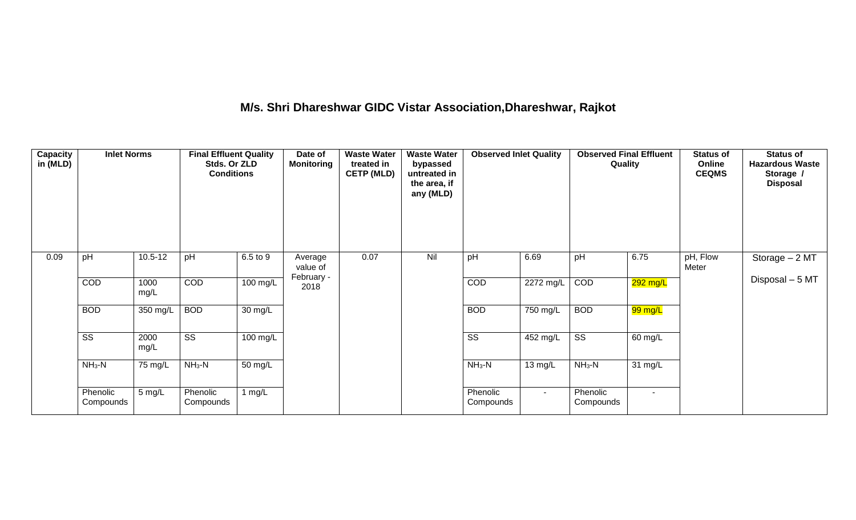# **M/s. Shri Dhareshwar GIDC Vistar Association,Dhareshwar, Rajkot**

| Capacity<br>in (MLD) | <b>Inlet Norms</b>     |                  | <b>Final Effluent Quality</b><br>Stds. Or ZLD<br><b>Conditions</b> |                      | Date of<br><b>Monitoring</b> | <b>Waste Water</b><br><b>Waste Water</b><br>treated in<br>bypassed<br><b>CETP (MLD)</b><br>untreated in<br>the area, if<br>any (MLD) |     | <b>Observed Inlet Quality</b> |                    | Quality                |          | <b>Status of</b><br>Online<br><b>CEQMS</b> | <b>Status of</b><br><b>Hazardous Waste</b><br>Storage /<br><b>Disposal</b> |
|----------------------|------------------------|------------------|--------------------------------------------------------------------|----------------------|------------------------------|--------------------------------------------------------------------------------------------------------------------------------------|-----|-------------------------------|--------------------|------------------------|----------|--------------------------------------------|----------------------------------------------------------------------------|
| 0.09                 | pH                     | $10.5 - 12$      | pH                                                                 | 6.5 to 9             | Average<br>value of          | 0.07                                                                                                                                 | Nil | pH                            | 6.69               | pH                     | 6.75     | pH, Flow<br>Meter                          | Storage $-2$ MT                                                            |
|                      | COD                    | 1000<br>mg/L     | <b>COD</b>                                                         | 100 mg/L             | February -<br>2018           |                                                                                                                                      |     | <b>COD</b>                    | 2272 mg/L          | COD                    | 292 mg/L |                                            | Disposal - 5 MT                                                            |
|                      | <b>BOD</b>             | 350 mg/L         | <b>BOD</b>                                                         | 30 mg/L              |                              |                                                                                                                                      |     | <b>BOD</b>                    | 750 mg/L           | <b>BOD</b>             | 99 mg/L  |                                            |                                                                            |
|                      | $\overline{\text{ss}}$ | 2000<br>mg/L     | $\overline{\text{ss}}$                                             | $100 \text{ mg/L}$   |                              |                                                                                                                                      |     | $\overline{\text{ss}}$        | $452 \text{ mg/L}$ | $\overline{\text{ss}}$ | 60 mg/L  |                                            |                                                                            |
|                      | $NH3-N$                | 75 mg/L          | $NH3-N$                                                            | $\overline{50}$ mg/L |                              |                                                                                                                                      |     | $NH3-N$                       | 13 mg/L            | $NH3-N$                | 31 mg/L  |                                            |                                                                            |
|                      | Phenolic<br>Compounds  | $5 \text{ mg/L}$ | Phenolic<br>Compounds                                              | 1 $mg/L$             |                              |                                                                                                                                      |     | Phenolic<br>Compounds         | $\sim$             | Phenolic<br>Compounds  | $\sim$   |                                            |                                                                            |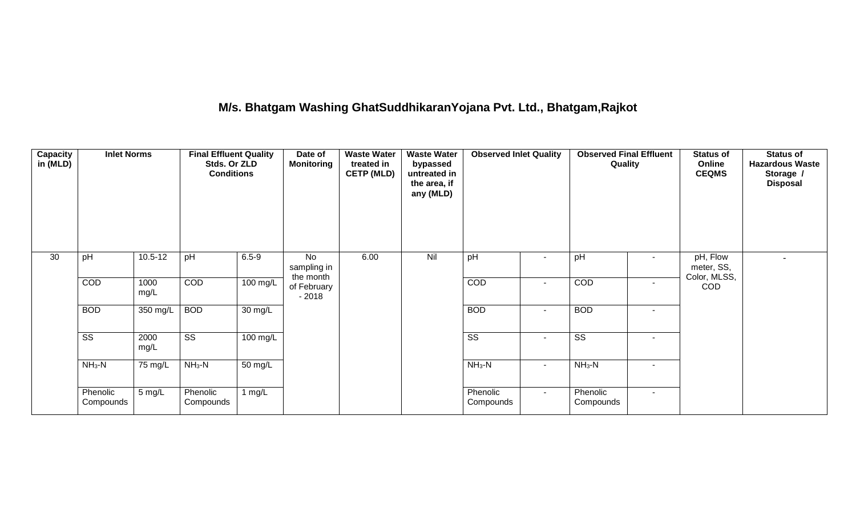## **M/s. Bhatgam Washing GhatSuddhikaranYojana Pvt. Ltd., Bhatgam,Rajkot**

| Capacity<br>in (MLD) | <b>Inlet Norms</b>     |              | <b>Final Effluent Quality</b><br>Stds. Or ZLD<br><b>Conditions</b> |                      | Date of<br><b>Monitoring</b>   | <b>Waste Water</b><br>treated in<br><b>CETP (MLD)</b> | <b>Waste Water</b><br>bypassed<br>untreated in<br>the area, if<br>any (MLD) | <b>Observed Inlet Quality</b> |                          | <b>Observed Final Effluent</b><br>Quality |                          | <b>Status of</b><br>Online<br><b>CEQMS</b> | <b>Status of</b><br><b>Hazardous Waste</b><br>Storage /<br><b>Disposal</b> |
|----------------------|------------------------|--------------|--------------------------------------------------------------------|----------------------|--------------------------------|-------------------------------------------------------|-----------------------------------------------------------------------------|-------------------------------|--------------------------|-------------------------------------------|--------------------------|--------------------------------------------|----------------------------------------------------------------------------|
| 30                   | pH                     | $10.5 - 12$  | pH                                                                 | $6.5 - 9$            | No<br>sampling in<br>the month | 6.00                                                  | Nil                                                                         | pH                            | $\overline{\phantom{a}}$ | pH                                        |                          | pH, Flow<br>meter, SS,<br>Color, MLSS,     | $\blacksquare$                                                             |
|                      | COD                    | 1000<br>mg/L | COD                                                                | 100 mg/L             | of February<br>$-2018$         |                                                       |                                                                             | COD                           | $\sim$                   | <b>COD</b>                                | $\overline{\phantom{a}}$ | <b>COD</b>                                 |                                                                            |
|                      | <b>BOD</b>             | 350 mg/L     | <b>BOD</b>                                                         | 30 mg/L              |                                |                                                       |                                                                             | <b>BOD</b>                    | $\sim$                   | <b>BOD</b>                                | ٠                        |                                            |                                                                            |
|                      | $\overline{\text{ss}}$ | 2000<br>mg/L | $\overline{\text{ss}}$                                             | 100 mg/L             |                                |                                                       |                                                                             | $\overline{\text{ss}}$        | $\sim$                   | $\overline{\text{SS}}$                    | $\overline{\phantom{a}}$ |                                            |                                                                            |
|                      | $NH3-N$                | 75 mg/L      | $NH3-N$                                                            | $\overline{50}$ mg/L |                                |                                                       |                                                                             | $NH3-N$                       | $\sim$                   | $NH3-N$                                   | ۰                        |                                            |                                                                            |
|                      | Phenolic<br>Compounds  | 5 mg/L       | Phenolic<br>Compounds                                              | 1 $mg/L$             |                                |                                                       |                                                                             | Phenolic<br>Compounds         | $\sim$                   | Phenolic<br>Compounds                     | ۰                        |                                            |                                                                            |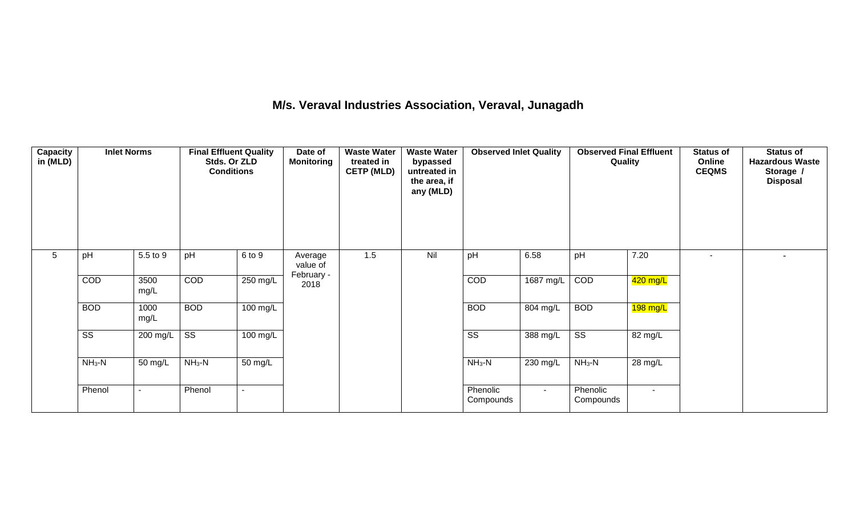## **M/s. Veraval Industries Association, Veraval, Junagadh**

| <b>Capacity</b><br>in (MLD) | <b>Inlet Norms</b>     |                | <b>Final Effluent Quality</b><br>Stds. Or ZLD<br><b>Conditions</b> |            | Date of<br><b>Monitoring</b>      | <b>Waste Water</b><br>treated in<br><b>CETP (MLD)</b> | <b>Waste Water</b><br>bypassed<br>untreated in<br>the area, if<br>any (MLD) | <b>Observed Inlet Quality</b> |           | <b>Observed Final Effluent</b><br>Quality |          | <b>Status of</b><br>Online<br><b>CEQMS</b> | <b>Status of</b><br><b>Hazardous Waste</b><br>Storage /<br><b>Disposal</b> |
|-----------------------------|------------------------|----------------|--------------------------------------------------------------------|------------|-----------------------------------|-------------------------------------------------------|-----------------------------------------------------------------------------|-------------------------------|-----------|-------------------------------------------|----------|--------------------------------------------|----------------------------------------------------------------------------|
| $5\phantom{.0}$             | pH                     | 5.5 to 9       | pH                                                                 | 6 to 9     | Average<br>value of<br>February - | 1.5                                                   | Nil                                                                         | pH                            | 6.58      | pH                                        | 7.20     | $\overline{\phantom{a}}$                   |                                                                            |
|                             | COD                    | 3500<br>mg/L   | COD                                                                | 250 mg/L   | 2018                              |                                                       |                                                                             | COD                           | 1687 mg/L | COD                                       | 420 mg/L |                                            |                                                                            |
|                             | <b>BOD</b>             | 1000<br>mg/L   | <b>BOD</b>                                                         | 100 mg/L   |                                   |                                                       |                                                                             | <b>BOD</b>                    | 804 mg/L  | <b>BOD</b>                                | 198 mg/L |                                            |                                                                            |
|                             | $\overline{\text{ss}}$ | 200 mg/L       | $\overline{\text{ss}}$                                             | $100$ mg/L |                                   |                                                       |                                                                             | $\overline{\text{ss}}$        | 388 mg/L  | $\overline{\text{SS}}$                    | 82 mg/L  |                                            |                                                                            |
|                             | $NH3-N$                | 50 mg/L        | $NH3-N$                                                            | 50 mg/L    |                                   |                                                       |                                                                             | $NH_3-N$                      | 230 mg/L  | $NH_3-N$                                  | 28 mg/L  |                                            |                                                                            |
|                             | Phenol                 | $\blacksquare$ | Phenol                                                             | $\sim$     |                                   |                                                       |                                                                             | Phenolic<br>Compounds         | $\sim$    | Phenolic<br>Compounds                     | $\sim$   |                                            |                                                                            |